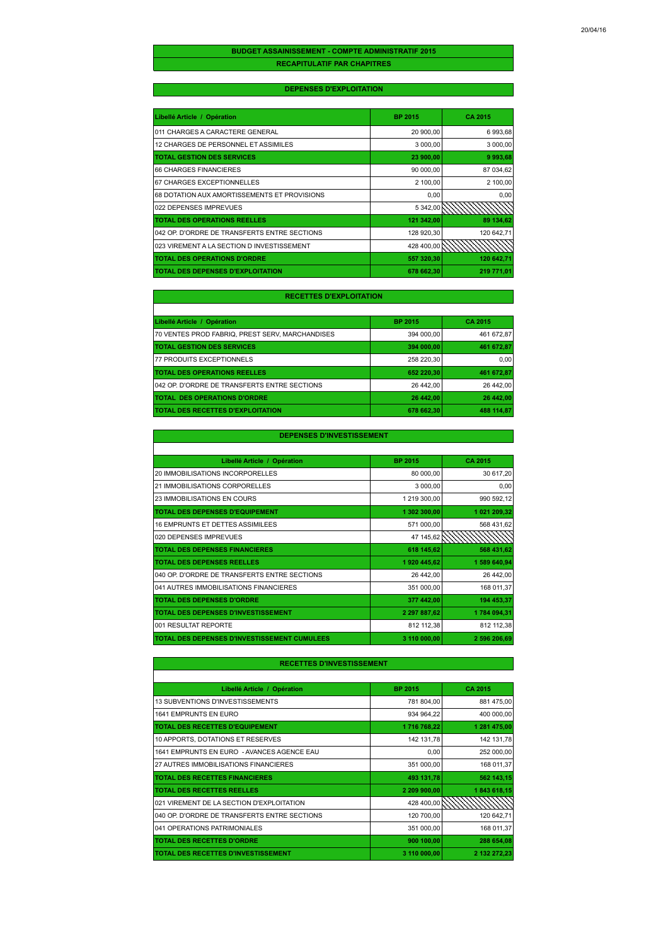### **RECAPITULATIF PAR CHAPITRES BUDGET ASSAINISSEMENT - COMPTE ADMINISTRATIF 2015**

### **DEPENSES D'EXPLOITATION**

| Libellé Article / Opération                  | <b>BP 2015</b> | <b>CA 2015</b> |
|----------------------------------------------|----------------|----------------|
| 011 CHARGES A CARACTERE GENERAL              | 20 900,00      | 6 993,68       |
| 12 CHARGES DE PERSONNEL ET ASSIMILES         | 3 000,00       | 3 000,00       |
| <b>TOTAL GESTION DES SERVICES</b>            | 23 900,00      | 9993,68        |
| 66 CHARGES FINANCIERES                       | 90 000,00      | 87 034.62      |
| 67 CHARGES EXCEPTIONNELLES                   | 2 100,00       | 2 100,00       |
| 68 DOTATION AUX AMORTISSEMENTS ET PROVISIONS | 0,00           | 0,00           |
| 022 DEPENSES IMPREVUES                       | 5 342,00       |                |
| <b>TOTAL DES OPERATIONS REELLES</b>          | 121 342,00     | 89 134,62      |
| 042 OP. D'ORDRE DE TRANSFERTS ENTRE SECTIONS | 128 920,30     | 120 642,71     |
| 023 VIREMENT A LA SECTION D INVESTISSEMENT   | 428 400.00     |                |
| <b>TOTAL DES OPERATIONS D'ORDRE</b>          | 557 320,30     | 120 642,71     |
| <b>TOTAL DES DEPENSES D'EXPLOITATION</b>     | 678 662,30     | 219 771,01     |

#### **RECETTES D'EXPLOITATION**

| Libellé Article / Opération                     | <b>BP 2015</b> | CA 2015    |
|-------------------------------------------------|----------------|------------|
| 70 VENTES PROD FABRIQ, PREST SERV, MARCHANDISES | 394 000.00     | 461 672.87 |
| <b>TOTAL GESTION DES SERVICES</b>               | 394 000.00     | 461 672,87 |
| 77 PRODUITS EXCEPTIONNELS                       | 258 220.30     | 0.00       |
| <b>TOTAL DES OPERATIONS REELLES</b>             | 652 220,30     | 461 672.87 |
| 042 OP. D'ORDRE DE TRANSFERTS ENTRE SECTIONS    | 26 442.00      | 26 442.00  |
| <b>TOTAL DES OPERATIONS D'ORDRE</b>             | 26 442.00      | 26 442.00  |
| <b>TOTAL DES RECETTES D'EXPLOITATION</b>        | 678 662.30     | 488 114.87 |

### **DEPENSES D'INVESTISSEMENT**

| Libellé Article / Opération                  | <b>BP 2015</b> | CA 2015      |
|----------------------------------------------|----------------|--------------|
| 20 IMMOBILISATIONS INCORPORELLES             | 80 000,00      | 30 617,20    |
| 21 IMMOBILISATIONS CORPORELLES               | 3 000,00       | 0,00         |
| 23 IMMOBILISATIONS EN COURS                  | 1 219 300,00   | 990 592,12   |
| TOTAL DES DEPENSES D'EQUIPEMENT              | 1 302 300,00   | 1 021 209,32 |
| 16 EMPRUNTS ET DETTES ASSIMILEES             | 571 000,00     | 568 431,62   |
| 020 DEPENSES IMPREVUES                       | 47 145,62      |              |
| <b>TOTAL DES DEPENSES FINANCIERES</b>        | 618 145,62     | 568 431,62   |
| <b>TOTAL DES DEPENSES REELLES</b>            | 1 920 445,62   | 1 589 640,94 |
| 040 OP. D'ORDRE DE TRANSFERTS ENTRE SECTIONS | 26 442,00      | 26 442,00    |
| 041 AUTRES IMMOBILISATIONS FINANCIERES       | 351 000,00     | 168 011,37   |
| <b>TOTAL DES DEPENSES D'ORDRE</b>            | 377 442,00     | 194 453,37   |
| TOTAL DES DEPENSES D'INVESTISSEMENT          | 2 297 887,62   | 1784 094,31  |
| 001 RESULTAT REPORTE                         | 812 112.38     | 812 112,38   |
| TOTAL DES DEPENSES D'INVESTISSEMENT CUMULEES | 3 110 000,00   | 2 596 206,69 |

| Libellé Article / Opération                  | <b>BP 2015</b> | CA 2015      |
|----------------------------------------------|----------------|--------------|
| 13 SUBVENTIONS D'INVESTISSEMENTS             | 781 804,00     | 881 475,00   |
| 1641 EMPRUNTS EN EURO                        | 934 964,22     | 400 000,00   |
| <b>TOTAL DES RECETTES D'EQUIPEMENT</b>       | 1716 768,22    | 1 281 475,00 |
| 10 APPORTS, DOTATIONS ET RESERVES            | 142 131,78     | 142 131,78   |
| 1641 EMPRUNTS EN EURO - AVANCES AGENCE EAU   | 0,00           | 252 000,00   |
| 27 AUTRES IMMOBILISATIONS FINANCIERES        | 351 000,00     | 168 011,37   |
| <b>TOTAL DES RECETTES FINANCIERES</b>        | 493 131,78     | 562 143,15   |
| <b>TOTAL DES RECETTES REELLES</b>            | 2 209 900,00   | 1843 618,15  |
| 021 VIREMENT DE LA SECTION D'EXPLOITATION    | 428 400,00     |              |
| 040 OP. D'ORDRE DE TRANSFERTS ENTRE SECTIONS | 120 700.00     | 120 642.71   |
| 041 OPERATIONS PATRIMONIALES                 | 351 000,00     | 168 011,37   |
| <b>TOTAL DES RECETTES D'ORDRE</b>            | 900 100,00     | 288 654,08   |
| <b>TOTAL DES RECETTES D'INVESTISSEMENT</b>   | 3 110 000,00   | 2 132 272,23 |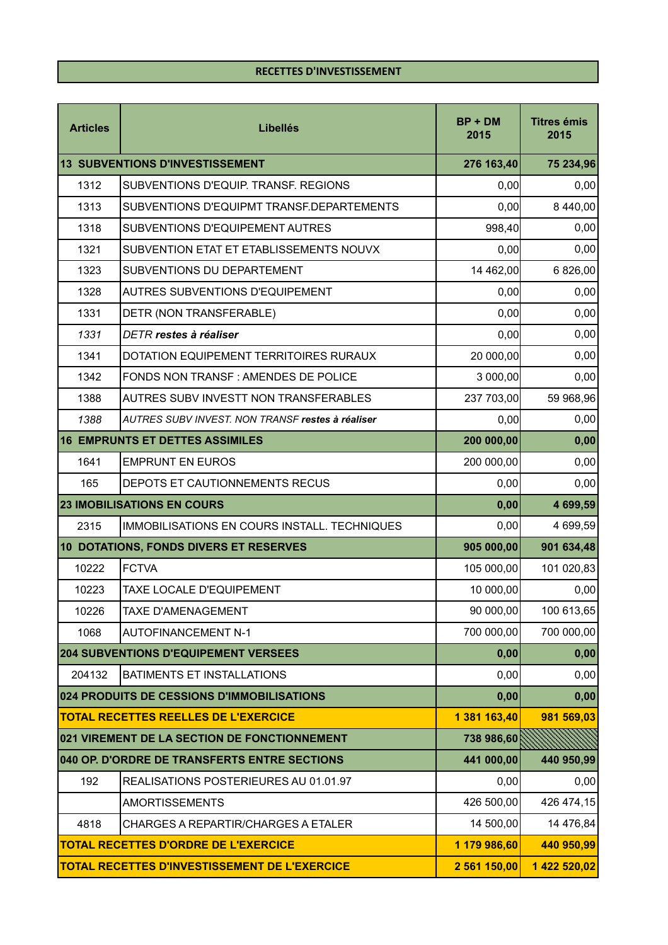| <b>Articles</b> | <b>Libellés</b>                                      | $BP + DM$<br>2015 | <b>Titres émis</b><br>2015 |
|-----------------|------------------------------------------------------|-------------------|----------------------------|
|                 | 13 SUBVENTIONS D'INVESTISSEMENT                      | 276 163,40        | 75 234,96                  |
| 1312            | SUBVENTIONS D'EQUIP. TRANSF. REGIONS                 | 0,00              | 0,00                       |
| 1313            | SUBVENTIONS D'EQUIPMT TRANSF.DEPARTEMENTS            | 0,00              | 8 440,00                   |
| 1318            | SUBVENTIONS D'EQUIPEMENT AUTRES                      | 998,40            | 0,00                       |
| 1321            | SUBVENTION ETAT ET ETABLISSEMENTS NOUVX              | 0,00              | 0,00                       |
| 1323            | SUBVENTIONS DU DEPARTEMENT                           | 14 462,00         | 6 826,00                   |
| 1328            | <b>AUTRES SUBVENTIONS D'EQUIPEMENT</b>               | 0,00              | 0,00                       |
| 1331            | DETR (NON TRANSFERABLE)                              | 0,00              | 0,00                       |
| 1331            | <b>DETR</b> restes à réaliser                        | 0,00              | 0,00                       |
| 1341            | DOTATION EQUIPEMENT TERRITOIRES RURAUX               | 20 000,00         | 0,00                       |
| 1342            | FONDS NON TRANSF : AMENDES DE POLICE                 | 3 000,00          | 0,00                       |
| 1388            | AUTRES SUBV INVESTT NON TRANSFERABLES                | 237 703,00        | 59 968,96                  |
| 1388            | AUTRES SUBV INVEST. NON TRANSF restes à réaliser     | 0,00              | 0,00                       |
|                 | <b>16 EMPRUNTS ET DETTES ASSIMILES</b>               | 200 000,00        | 0,00                       |
| 1641            | <b>EMPRUNT EN EUROS</b>                              | 200 000,00        | 0,00                       |
| 165             | DEPOTS ET CAUTIONNEMENTS RECUS                       | 0,00              | 0,00                       |
|                 | <b>23 IMOBILISATIONS EN COURS</b>                    | 0,00              | 4 699,59                   |
| 2315            | IMMOBILISATIONS EN COURS INSTALL. TECHNIQUES         | 0,00              | 4 699,59                   |
|                 | 10 DOTATIONS, FONDS DIVERS ET RESERVES               | 905 000,00        | 901 634,48                 |
| 10222           | <b>FCTVA</b>                                         | 105 000,00        | 101 020,83                 |
| 10223           | <b>TAXE LOCALE D'EQUIPEMENT</b>                      | 10 000,00         | 0,00                       |
| 10226           | <b>TAXE D'AMENAGEMENT</b>                            | 90 000,00         | 100 613,65                 |
| 1068            | <b>AUTOFINANCEMENT N-1</b>                           | 700 000,00        | 700 000,00                 |
|                 | <b>204 SUBVENTIONS D'EQUIPEMENT VERSEES</b>          | 0,00              | 0,00                       |
| 204132          | <b>BATIMENTS ET INSTALLATIONS</b>                    | 0,00              | 0,00                       |
|                 | 024 PRODUITS DE CESSIONS D'IMMOBILISATIONS           | 0,00              | 0,00                       |
|                 | <b>TOTAL RECETTES REELLES DE L'EXERCICE</b>          | 1 381 163,40      | 981 569,03                 |
|                 | 021 VIREMENT DE LA SECTION DE FONCTIONNEMENT         | 738 986,60        |                            |
|                 | 040 OP. D'ORDRE DE TRANSFERTS ENTRE SECTIONS         | 441 000,00        | 440 950,99                 |
| 192             | REALISATIONS POSTERIEURES AU 01.01.97                | 0,00              | 0,00                       |
|                 | <b>AMORTISSEMENTS</b>                                | 426 500,00        | 426 474,15                 |
| 4818            | CHARGES A REPARTIR/CHARGES A ETALER                  | 14 500,00         | 14 476,84                  |
|                 | <b>TOTAL RECETTES D'ORDRE DE L'EXERCICE</b>          | 1 179 986,60      | 440 950,99                 |
|                 | <b>TOTAL RECETTES D'INVESTISSEMENT DE L'EXERCICE</b> | 2 561 150,00      | 1 422 520,02               |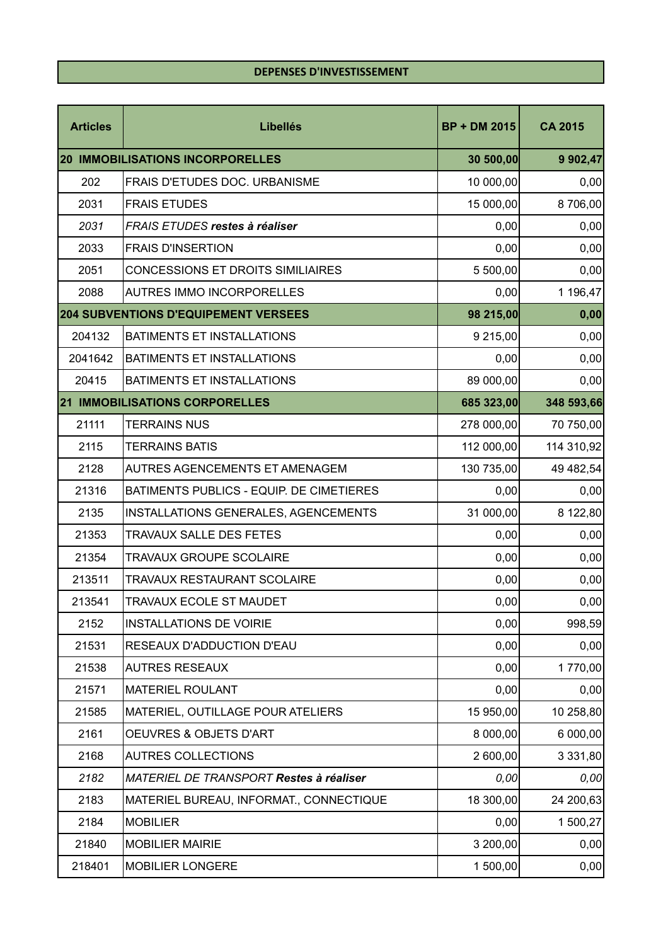## **DEPENSES D'INVESTISSEMENT**

| <b>Articles</b> | <b>Libellés</b>                             | <b>BP + DM 2015</b> | <b>CA 2015</b> |
|-----------------|---------------------------------------------|---------------------|----------------|
|                 | <b>20 IMMOBILISATIONS INCORPORELLES</b>     | 30 500,00           | 9 902,47       |
| 202             | <b>FRAIS D'ETUDES DOC. URBANISME</b>        | 10 000,00           | 0,00           |
| 2031            | <b>FRAIS ETUDES</b>                         | 15 000,00           | 8706,00        |
| 2031            | FRAIS ETUDES restes à réaliser              | 0,00                | 0,00           |
| 2033            | <b>FRAIS D'INSERTION</b>                    | 0,00                | 0,00           |
| 2051            | <b>CONCESSIONS ET DROITS SIMILIAIRES</b>    | 5 500,00            | 0,00           |
| 2088            | <b>AUTRES IMMO INCORPORELLES</b>            | 0,00                | 1 196,47       |
|                 | <b>204 SUBVENTIONS D'EQUIPEMENT VERSEES</b> | 98 215,00           | 0,00           |
| 204132          | <b>BATIMENTS ET INSTALLATIONS</b>           | 9 215,00            | 0,00           |
| 2041642         | <b>BATIMENTS ET INSTALLATIONS</b>           | 0,00                | 0,00           |
| 20415           | BATIMENTS ET INSTALLATIONS                  | 89 000,00           | 0,00           |
|                 | <b>21 IMMOBILISATIONS CORPORELLES</b>       | 685 323,00          | 348 593,66     |
| 21111           | <b>TERRAINS NUS</b>                         | 278 000,00          | 70 750,00      |
| 2115            | <b>TERRAINS BATIS</b>                       | 112 000,00          | 114 310,92     |
| 2128            | AUTRES AGENCEMENTS ET AMENAGEM              | 130 735,00          | 49 482,54      |
| 21316           | BATIMENTS PUBLICS - EQUIP. DE CIMETIERES    | 0,00                | 0,00           |
| 2135            | INSTALLATIONS GENERALES, AGENCEMENTS        | 31 000,00           | 8 122,80       |
| 21353           | <b>TRAVAUX SALLE DES FETES</b>              | 0,00                | 0,00           |
| 21354           | <b>TRAVAUX GROUPE SCOLAIRE</b>              | 0,00                | 0,00           |
| 213511          | TRAVAUX RESTAURANT SCOLAIRE                 | 0,00                | 0,00           |
| 213541          | TRAVAUX ECOLE ST MAUDET                     | 0,00                | 0,00           |
| 2152            | <b>INSTALLATIONS DE VOIRIE</b>              | 0,00                | 998,59         |
| 21531           | RESEAUX D'ADDUCTION D'EAU                   | 0,00                | 0,00           |
| 21538           | <b>AUTRES RESEAUX</b>                       | 0,00                | 1770,00        |
| 21571           | <b>MATERIEL ROULANT</b>                     | 0,00                | 0,00           |
| 21585           | MATERIEL, OUTILLAGE POUR ATELIERS           | 15 950,00           | 10 258,80      |
| 2161            | OEUVRES & OBJETS D'ART                      | 8 000,00            | 6 000,00       |
| 2168            | <b>AUTRES COLLECTIONS</b>                   | 2 600,00            | 3 3 3 1 , 8 0  |
| 2182            | MATERIEL DE TRANSPORT Restes à réaliser     | 0,00                | 0,00           |
| 2183            | MATERIEL BUREAU, INFORMAT., CONNECTIQUE     | 18 300,00           | 24 200,63      |
| 2184            | <b>MOBILIER</b>                             | 0,00                | 1 500,27       |
| 21840           | <b>MOBILIER MAIRIE</b>                      | 3 200,00            | 0,00           |
| 218401          | <b>MOBILIER LONGERE</b>                     | 1 500,00            | 0,00           |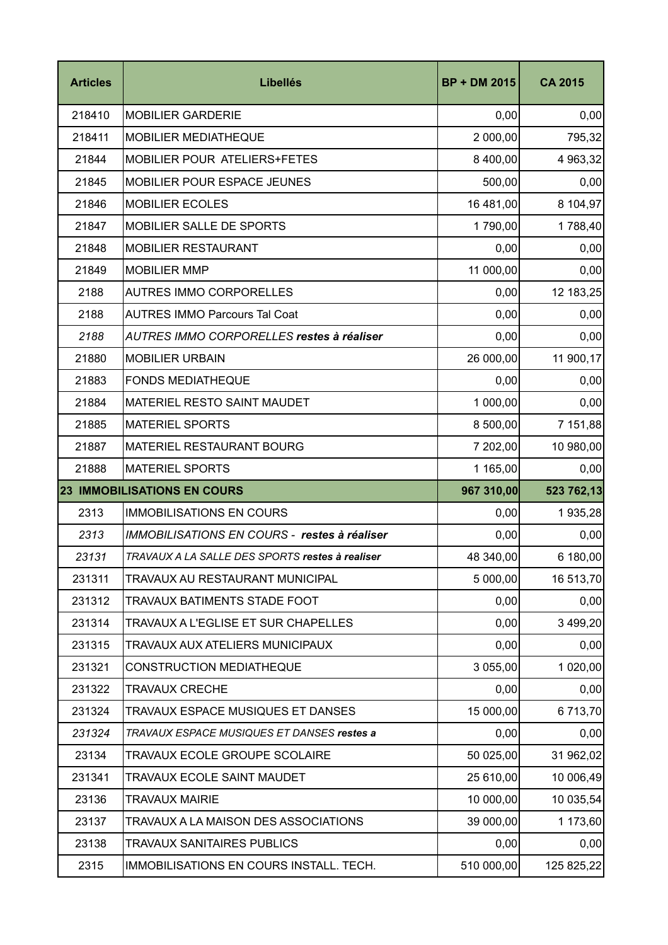| <b>Articles</b> | <b>Libellés</b>                                 | <b>BP + DM 2015</b> | <b>CA 2015</b> |
|-----------------|-------------------------------------------------|---------------------|----------------|
|                 |                                                 |                     |                |
| 218410          | <b>MOBILIER GARDERIE</b>                        | 0,00                | 0,00           |
| 218411          | MOBILIER MEDIATHEQUE                            | 2 000,00            | 795,32         |
| 21844           | <b>MOBILIER POUR ATELIERS+FETES</b>             | 8 400,00            | 4 963,32       |
| 21845           | MOBILIER POUR ESPACE JEUNES                     | 500,00              | 0,00           |
| 21846           | <b>MOBILIER ECOLES</b>                          | 16 481,00           | 8 104,97       |
| 21847           | <b>MOBILIER SALLE DE SPORTS</b>                 | 1790,00             | 1788,40        |
| 21848           | <b>MOBILIER RESTAURANT</b>                      | 0,00                | 0,00           |
| 21849           | <b>MOBILIER MMP</b>                             | 11 000,00           | 0,00           |
| 2188            | <b>AUTRES IMMO CORPORELLES</b>                  | 0,00                | 12 183,25      |
| 2188            | <b>AUTRES IMMO Parcours Tal Coat</b>            | 0,00                | 0,00           |
| 2188            | AUTRES IMMO CORPORELLES restes à réaliser       | 0,00                | 0,00           |
| 21880           | <b>MOBILIER URBAIN</b>                          | 26 000,00           | 11 900,17      |
| 21883           | <b>FONDS MEDIATHEQUE</b>                        | 0,00                | 0,00           |
| 21884           | <b>MATERIEL RESTO SAINT MAUDET</b>              | 1 000,00            | 0,00           |
| 21885           | <b>MATERIEL SPORTS</b>                          | 8 500,00            | 7 151,88       |
| 21887           | <b>MATERIEL RESTAURANT BOURG</b>                | 7 202,00            | 10 980,00      |
| 21888           | <b>MATERIEL SPORTS</b>                          | 1 165,00            | 0,00           |
|                 | <b>23 IMMOBILISATIONS EN COURS</b>              | 967 310,00          | 523 762,13     |
| 2313            | <b>IMMOBILISATIONS EN COURS</b>                 | 0,00                | 1935,28        |
| 2313            | IMMOBILISATIONS EN COURS - restes à réaliser    | 0,00                | 0,00           |
| 23131           | TRAVAUX A LA SALLE DES SPORTS restes à realiser | 48 340,00           | 6 180,00       |
| 231311          | TRAVAUX AU RESTAURANT MUNICIPAL                 | 5 000,00            | 16 513,70      |
| 231312          | TRAVAUX BATIMENTS STADE FOOT                    | 0,00                | 0,00           |
| 231314          | TRAVAUX A L'EGLISE ET SUR CHAPELLES             | 0,00                | 3 499,20       |
| 231315          | TRAVAUX AUX ATELIERS MUNICIPAUX                 | 0,00                | 0,00           |
| 231321          | <b>CONSTRUCTION MEDIATHEQUE</b>                 | 3 055,00            | 1 020,00       |
| 231322          | <b>TRAVAUX CRECHE</b>                           | 0,00                | 0,00           |
| 231324          | TRAVAUX ESPACE MUSIQUES ET DANSES               | 15 000,00           | 6713,70        |
| 231324          | TRAVAUX ESPACE MUSIQUES ET DANSES restes a      | 0,00                | 0,00           |
| 23134           | TRAVAUX ECOLE GROUPE SCOLAIRE                   | 50 025,00           | 31 962,02      |
| 231341          | TRAVAUX ECOLE SAINT MAUDET                      | 25 610,00           | 10 006,49      |
| 23136           | <b>TRAVAUX MAIRIE</b>                           | 10 000,00           | 10 035,54      |
| 23137           | TRAVAUX A LA MAISON DES ASSOCIATIONS            | 39 000,00           | 1 173,60       |
| 23138           | <b>TRAVAUX SANITAIRES PUBLICS</b>               | 0,00                | 0,00           |
| 2315            | IMMOBILISATIONS EN COURS INSTALL. TECH.         | 510 000,00          | 125 825,22     |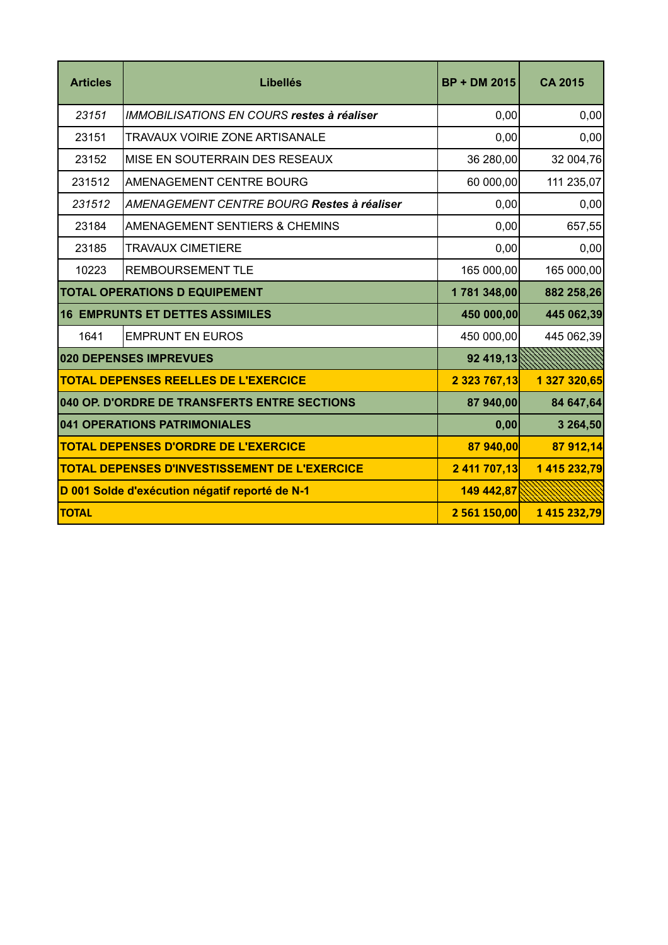| <b>Articles</b> | <b>Libellés</b>                                      | <b>BP + DM 2015</b> | <b>CA 2015</b> |
|-----------------|------------------------------------------------------|---------------------|----------------|
| 23151           | <b>IMMOBILISATIONS EN COURS restes à réaliser</b>    | 0,00                | 0,00           |
| 23151           | <b>TRAVAUX VOIRIE ZONE ARTISANALE</b>                | 0,00                | 0,00           |
| 23152           | MISE EN SOUTERRAIN DES RESEAUX                       | 36 280,00           | 32 004,76      |
| 231512          | AMENAGEMENT CENTRE BOURG                             | 60 000,00           | 111 235,07     |
| 231512          | AMENAGEMENT CENTRE BOURG Restes à réaliser           | 0,00                | 0,00           |
| 23184           | AMENAGEMENT SENTIERS & CHEMINS                       | 0,00                | 657,55         |
| 23185           | <b>TRAVAUX CIMETIERE</b>                             | 0,00                | 0,00           |
| 10223           | <b>REMBOURSEMENT TLE</b>                             | 165 000,00          | 165 000,00     |
|                 | <b>TOTAL OPERATIONS D EQUIPEMENT</b>                 | 1781348,00          | 882 258,26     |
|                 | <b>16 EMPRUNTS ET DETTES ASSIMILES</b>               | 450 000,00          | 445 062,39     |
| 1641            | <b>EMPRUNT EN EUROS</b>                              | 450 000,00          | 445 062,39     |
|                 | 020 DEPENSES IMPREVUES                               | 92 419,13           |                |
|                 | <b>TOTAL DEPENSES REELLES DE L'EXERCICE</b>          | 2 323 767,13        | 1 327 320,65   |
|                 | 040 OP. D'ORDRE DE TRANSFERTS ENTRE SECTIONS         | 87 940,00           | 84 647,64      |
|                 | 041 OPERATIONS PATRIMONIALES                         | 0,00                | 3 264,50       |
|                 | <b>TOTAL DEPENSES D'ORDRE DE L'EXERCICE</b>          | 87 940,00           | 87 912,14      |
|                 | <b>TOTAL DEPENSES D'INVESTISSEMENT DE L'EXERCICE</b> | 2 411 707,13        | 1 415 232,79   |
|                 | D 001 Solde d'exécution négatif reporté de N-1       | 149 442,87          |                |
| <b>TOTAL</b>    |                                                      | 2 561 150,00        | 1 415 232,79   |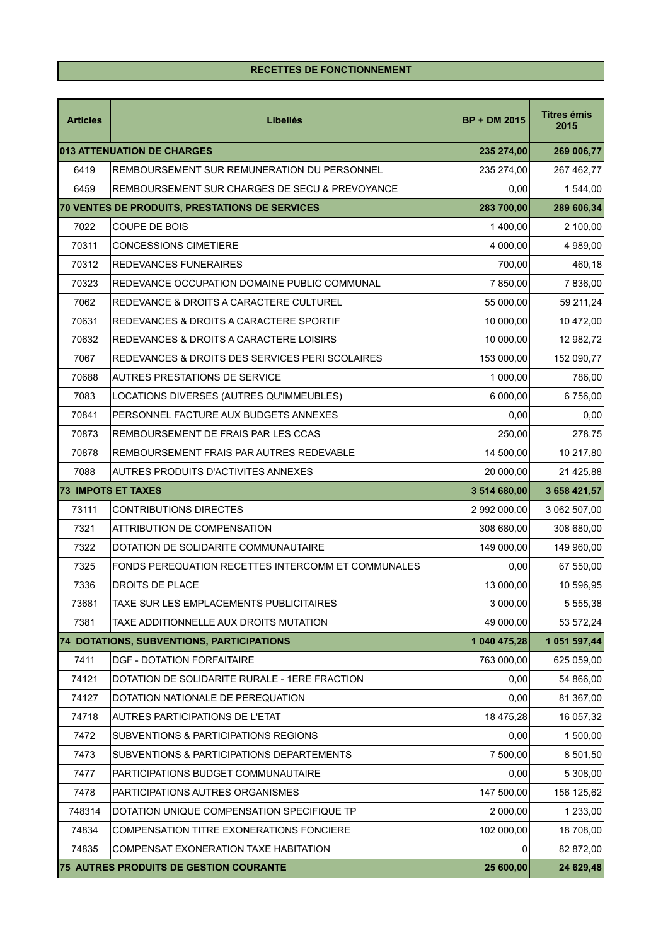## **RECETTES DE FONCTIONNEMENT**

| <b>Articles</b> | <b>Libellés</b>                                    | <b>BP + DM 2015</b> | <b>Titres émis</b><br>2015 |
|-----------------|----------------------------------------------------|---------------------|----------------------------|
|                 | 013 ATTENUATION DE CHARGES                         | 235 274,00          | 269 006,77                 |
| 6419            | REMBOURSEMENT SUR REMUNERATION DU PERSONNEL        | 235 274,00          | 267 462,77                 |
| 6459            | REMBOURSEMENT SUR CHARGES DE SECU & PREVOYANCE     | 0,00                | 1 544,00                   |
|                 | 70 VENTES DE PRODUITS, PRESTATIONS DE SERVICES     | 283 700,00          | 289 606,34                 |
| 7022            | <b>COUPE DE BOIS</b>                               | 1 400,00            | 2 100,00                   |
| 70311           | <b>CONCESSIONS CIMETIERE</b>                       | 4 000,00            | 4 989,00                   |
| 70312           | <b>REDEVANCES FUNERAIRES</b>                       | 700,00              | 460,18                     |
| 70323           | REDEVANCE OCCUPATION DOMAINE PUBLIC COMMUNAL       | 7 850,00            | 7 836,00                   |
| 7062            | REDEVANCE & DROITS A CARACTERE CULTUREL            | 55 000,00           | 59 211,24                  |
| 70631           | REDEVANCES & DROITS A CARACTERE SPORTIF            | 10 000,00           | 10 472,00                  |
| 70632           | REDEVANCES & DROITS A CARACTERE LOISIRS            | 10 000,00           | 12 982,72                  |
| 7067            | REDEVANCES & DROITS DES SERVICES PERI SCOLAIRES    | 153 000,00          | 152 090,77                 |
| 70688           | AUTRES PRESTATIONS DE SERVICE                      | 1 000,00            | 786,00                     |
| 7083            | LOCATIONS DIVERSES (AUTRES QU'IMMEUBLES)           | 6 000,00            | 6756,00                    |
| 70841           | PERSONNEL FACTURE AUX BUDGETS ANNEXES              | 0,00                | 0,00                       |
| 70873           | REMBOURSEMENT DE FRAIS PAR LES CCAS                | 250,00              | 278,75                     |
| 70878           | REMBOURSEMENT FRAIS PAR AUTRES REDEVABLE           | 14 500,00           | 10 217,80                  |
| 7088            | <b>AUTRES PRODUITS D'ACTIVITES ANNEXES</b>         | 20 000,00           | 21 425,88                  |
|                 | <b>73 IMPOTS ET TAXES</b>                          | 3 514 680,00        | 3 658 421,57               |
| 73111           | <b>CONTRIBUTIONS DIRECTES</b>                      | 2 992 000,00        | 3 062 507,00               |
| 7321            | ATTRIBUTION DE COMPENSATION                        | 308 680,00          | 308 680,00                 |
| 7322            | DOTATION DE SOLIDARITE COMMUNAUTAIRE               | 149 000,00          | 149 960,00                 |
| 7325            | FONDS PEREQUATION RECETTES INTERCOMM ET COMMUNALES | 0,00                | 67 550,00                  |
| 7336            | <b>DROITS DE PLACE</b>                             | 13 000,00           | 10 596,95                  |
| 73681           | TAXE SUR LES EMPLACEMENTS PUBLICITAIRES            | 3 000,00            | 5 555,38                   |
| 7381            | TAXE ADDITIONNELLE AUX DROITS MUTATION             | 49 000,00           | 53 572,24                  |
|                 | 74 DOTATIONS, SUBVENTIONS, PARTICIPATIONS          | 1 040 475,28        | 1 051 597,44               |
| 7411            | <b>DGF - DOTATION FORFAITAIRE</b>                  | 763 000,00          | 625 059,00                 |
| 74121           | DOTATION DE SOLIDARITE RURALE - 1ERE FRACTION      | 0,00                | 54 866,00                  |
| 74127           | DOTATION NATIONALE DE PEREQUATION                  | 0,00                | 81 367,00                  |
| 74718           | AUTRES PARTICIPATIONS DE L'ETAT                    | 18 475,28           | 16 057,32                  |
| 7472            | SUBVENTIONS & PARTICIPATIONS REGIONS               | 0,00                | 1 500,00                   |
| 7473            | SUBVENTIONS & PARTICIPATIONS DEPARTEMENTS          | 7 500,00            | 8 501,50                   |
| 7477            | PARTICIPATIONS BUDGET COMMUNAUTAIRE                | 0,00                | 5 308,00                   |
| 7478            | PARTICIPATIONS AUTRES ORGANISMES                   | 147 500,00          | 156 125,62                 |
| 748314          | DOTATION UNIQUE COMPENSATION SPECIFIQUE TP         | 2 000,00            | 1 233,00                   |
| 74834           | COMPENSATION TITRE EXONERATIONS FONCIERE           | 102 000,00          | 18 708,00                  |
| 74835           | COMPENSAT EXONERATION TAXE HABITATION              | 0                   | 82 872,00                  |
|                 | 75 AUTRES PRODUITS DE GESTION COURANTE             | 25 600,00           | 24 629,48                  |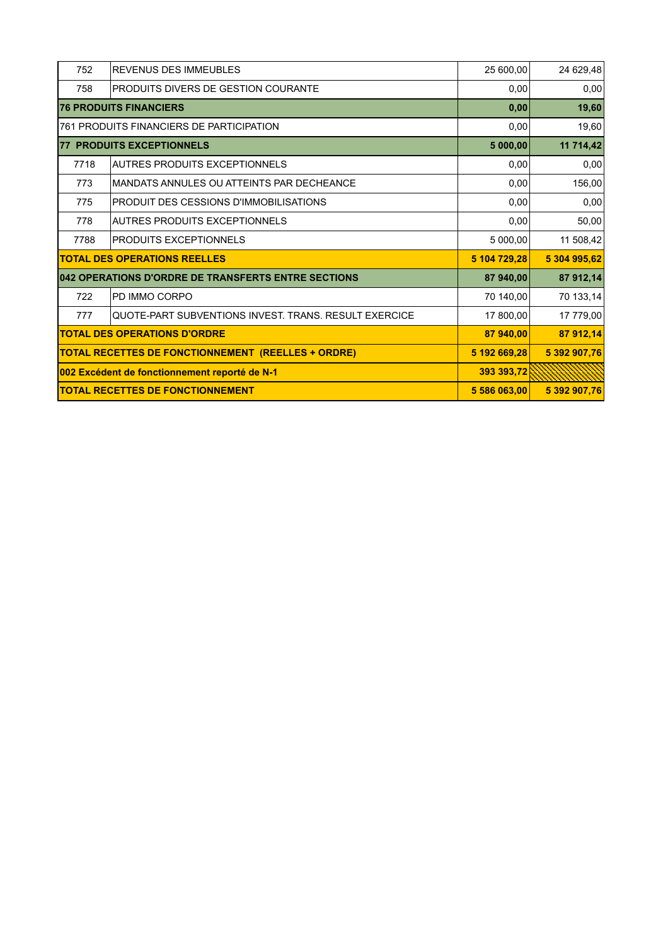| 752  | <b>REVENUS DES IMMEUBLES</b>                              | 25 600,00    | 24 629,48    |
|------|-----------------------------------------------------------|--------------|--------------|
| 758  | PRODUITS DIVERS DE GESTION COURANTE                       | 0,00         | 0,00         |
|      | <b>76 PRODUITS FINANCIERS</b>                             | 0,00         | 19,60        |
|      | 761 PRODUITS FINANCIERS DE PARTICIPATION                  | 0,00         | 19,60        |
|      | <b>77 PRODUITS EXCEPTIONNELS</b>                          | 5000,00      | 11 714,42    |
| 7718 | <b>AUTRES PRODUITS EXCEPTIONNELS</b>                      | 0,00         | 0,00         |
| 773  | MANDATS ANNULES OU ATTEINTS PAR DECHEANCE                 | 0,00         | 156,00       |
| 775  | PRODUIT DES CESSIONS D'IMMOBILISATIONS                    | 0,00         | 0,00         |
| 778  | AUTRES PRODUITS EXCEPTIONNELS                             | 0.00         | 50,00        |
| 7788 | <b>PRODUITS EXCEPTIONNELS</b>                             | 5 000,00     | 11 508,42    |
|      | <b>TOTAL DES OPERATIONS REELLES</b>                       | 5 104 729,28 | 5 304 995,62 |
|      | 042 OPERATIONS D'ORDRE DE TRANSFERTS ENTRE SECTIONS       | 87 940,00    | 87 912,14    |
| 722  | PD IMMO CORPO                                             | 70 140,00    | 70 133,14    |
| 777  | QUOTE-PART SUBVENTIONS INVEST. TRANS. RESULT EXERCICE     | 17 800,00    | 17 779,00    |
|      | <b>TOTAL DES OPERATIONS D'ORDRE</b>                       | 87 940,00    | 87 912,14    |
|      | <b>TOTAL RECETTES DE FONCTIONNEMENT (REELLES + ORDRE)</b> | 5 192 669,28 | 5 392 907,76 |
|      | 002 Excédent de fonctionnement reporté de N-1             | 393 393,72   |              |
|      | <b>TOTAL RECETTES DE FONCTIONNEMENT</b>                   | 5 586 063.00 | 5 392 907,76 |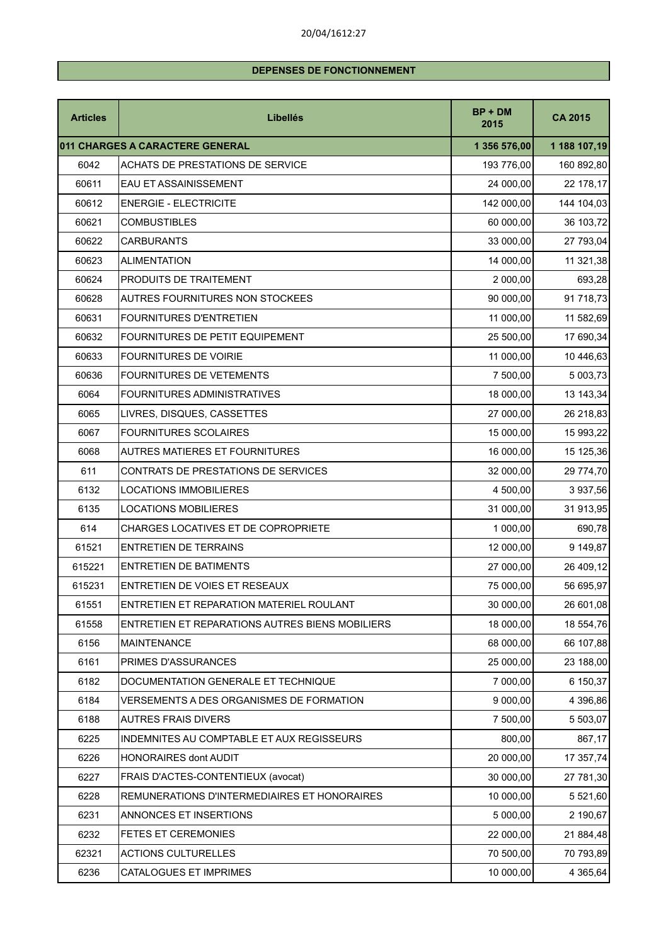## 20/04/1612:27

# **DEPENSES DE FONCTIONNEMENT**

| <b>Articles</b> | <b>Libellés</b>                                 | $BP + DM$<br>2015 | <b>CA 2015</b> |
|-----------------|-------------------------------------------------|-------------------|----------------|
|                 | 011 CHARGES A CARACTERE GENERAL                 | 1 356 576,00      | 1 188 107,19   |
| 6042            | <b>ACHATS DE PRESTATIONS DE SERVICE</b>         | 193 776,00        | 160 892,80     |
| 60611           | EAU ET ASSAINISSEMENT                           | 24 000,00         | 22 178,17      |
| 60612           | <b>ENERGIE - ELECTRICITE</b>                    | 142 000,00        | 144 104,03     |
| 60621           | <b>COMBUSTIBLES</b>                             | 60 000,00         | 36 103,72      |
| 60622           | <b>CARBURANTS</b>                               | 33 000,00         | 27 793,04      |
| 60623           | <b>ALIMENTATION</b>                             | 14 000,00         | 11 321,38      |
| 60624           | <b>PRODUITS DE TRAITEMENT</b>                   | 2 000,00          | 693,28         |
| 60628           | <b>AUTRES FOURNITURES NON STOCKEES</b>          | 90 000,00         | 91 718,73      |
| 60631           | <b>FOURNITURES D'ENTRETIEN</b>                  | 11 000,00         | 11 582,69      |
| 60632           | FOURNITURES DE PETIT EQUIPEMENT                 | 25 500,00         | 17 690,34      |
| 60633           | <b>FOURNITURES DE VOIRIE</b>                    | 11 000,00         | 10 446,63      |
| 60636           | <b>FOURNITURES DE VETEMENTS</b>                 | 7 500,00          | 5 003,73       |
| 6064            | <b>FOURNITURES ADMINISTRATIVES</b>              | 18 000,00         | 13 143,34      |
| 6065            | LIVRES, DISQUES, CASSETTES                      | 27 000,00         | 26 218,83      |
| 6067            | <b>FOURNITURES SCOLAIRES</b>                    | 15 000,00         | 15 993,22      |
| 6068            | <b>AUTRES MATIERES ET FOURNITURES</b>           | 16 000,00         | 15 125,36      |
| 611             | CONTRATS DE PRESTATIONS DE SERVICES             | 32 000,00         | 29 774,70      |
| 6132            | LOCATIONS IMMOBILIERES                          | 4 500,00          | 3 937,56       |
| 6135            | <b>LOCATIONS MOBILIERES</b>                     | 31 000,00         | 31 913,95      |
| 614             | CHARGES LOCATIVES ET DE COPROPRIETE             | 1 000,00          | 690,78         |
| 61521           | <b>ENTRETIEN DE TERRAINS</b>                    | 12 000,00         | 9 149,87       |
| 615221          | <b>ENTRETIEN DE BATIMENTS</b>                   | 27 000,00         | 26 409,12      |
| 615231          | ENTRETIEN DE VOIES ET RESEAUX                   | 75 000,00         | 56 695,97      |
| 61551           | ENTRETIEN ET REPARATION MATERIEL ROULANT        | 30 000,00         | 26 601,08      |
| 61558           | ENTRETIEN ET REPARATIONS AUTRES BIENS MOBILIERS | 18 000,00         | 18 554,76      |
| 6156            | <b>MAINTENANCE</b>                              | 68 000,00         | 66 107,88      |
| 6161            | PRIMES D'ASSURANCES                             | 25 000,00         | 23 188,00      |
| 6182            | DOCUMENTATION GENERALE ET TECHNIQUE             | 7 000,00          | 6 150,37       |
| 6184            | VERSEMENTS A DES ORGANISMES DE FORMATION        | 9 000,00          | 4 396,86       |
| 6188            | <b>AUTRES FRAIS DIVERS</b>                      | 7 500,00          | 5 503,07       |
| 6225            | INDEMNITES AU COMPTABLE ET AUX REGISSEURS       | 800,00            | 867,17         |
| 6226            | HONORAIRES dont AUDIT                           | 20 000,00         | 17 357,74      |
| 6227            | FRAIS D'ACTES-CONTENTIEUX (avocat)              | 30 000,00         | 27 781,30      |
| 6228            | REMUNERATIONS D'INTERMEDIAIRES ET HONORAIRES    | 10 000,00         | 5 521,60       |
| 6231            | ANNONCES ET INSERTIONS                          | 5 000,00          | 2 190,67       |
| 6232            | FETES ET CEREMONIES                             | 22 000,00         | 21 884,48      |
| 62321           | <b>ACTIONS CULTURELLES</b>                      | 70 500,00         | 70 793,89      |
| 6236            | CATALOGUES ET IMPRIMES                          | 10 000,00         | 4 365,64       |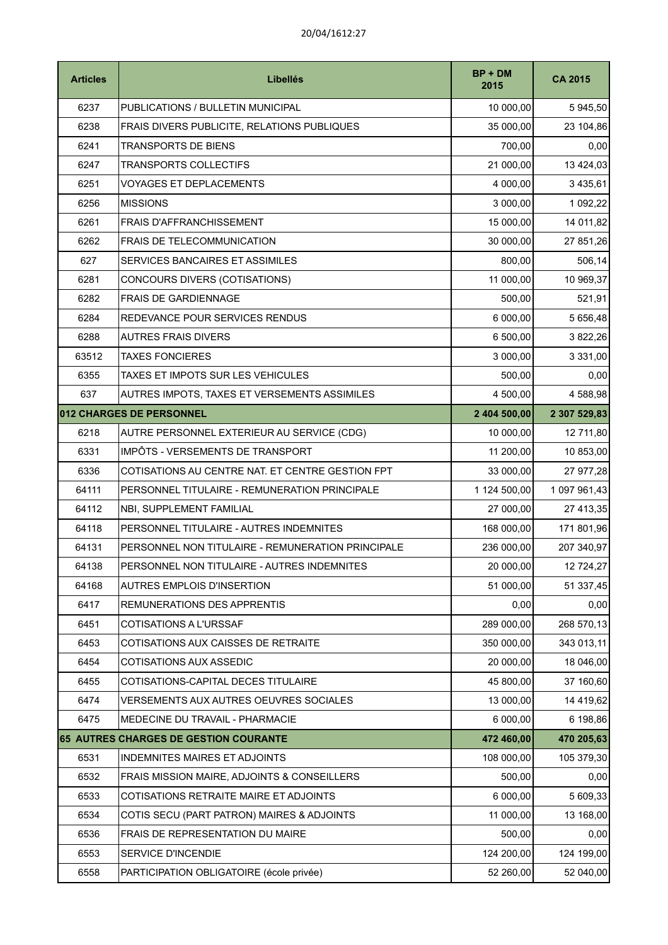| <b>Articles</b> | <b>Libellés</b>                                   | $BP + DM$<br>2015 | <b>CA 2015</b> |
|-----------------|---------------------------------------------------|-------------------|----------------|
| 6237            | PUBLICATIONS / BULLETIN MUNICIPAL                 | 10 000,00         | 5 945,50       |
| 6238            | FRAIS DIVERS PUBLICITE, RELATIONS PUBLIQUES       | 35 000,00         | 23 104,86      |
| 6241            | <b>TRANSPORTS DE BIENS</b>                        | 700,00            | 0,00           |
| 6247            | <b>TRANSPORTS COLLECTIFS</b>                      | 21 000,00         | 13 424,03      |
| 6251            | <b>VOYAGES ET DEPLACEMENTS</b>                    | 4 000,00          | 3 4 3 5 , 6 1  |
| 6256            | <b>MISSIONS</b>                                   | 3 000,00          | 1 092,22       |
| 6261            | <b>FRAIS D'AFFRANCHISSEMENT</b>                   | 15 000,00         | 14 011,82      |
| 6262            | FRAIS DE TELECOMMUNICATION                        | 30 000,00         | 27 851,26      |
| 627             | SERVICES BANCAIRES ET ASSIMILES                   | 800,00            | 506,14         |
| 6281            | CONCOURS DIVERS (COTISATIONS)                     | 11 000,00         | 10 969,37      |
| 6282            | <b>FRAIS DE GARDIENNAGE</b>                       | 500,00            | 521,91         |
| 6284            | REDEVANCE POUR SERVICES RENDUS                    | 6 000,00          | 5 656,48       |
| 6288            | <b>AUTRES FRAIS DIVERS</b>                        | 6 500,00          | 3 822,26       |
| 63512           | <b>TAXES FONCIERES</b>                            | 3 000,00          | 3 3 3 1 , 0 0  |
| 6355            | TAXES ET IMPOTS SUR LES VEHICULES                 | 500,00            | 0,00           |
| 637             | AUTRES IMPOTS, TAXES ET VERSEMENTS ASSIMILES      | 4 500,00          | 4 588,98       |
|                 | 012 CHARGES DE PERSONNEL                          | 2 404 500,00      | 2 307 529,83   |
| 6218            | AUTRE PERSONNEL EXTERIEUR AU SERVICE (CDG)        | 10 000,00         | 12 711,80      |
| 6331            | IMPÔTS - VERSEMENTS DE TRANSPORT                  | 11 200,00         | 10 853,00      |
| 6336            | COTISATIONS AU CENTRE NAT. ET CENTRE GESTION FPT  | 33 000,00         | 27 977,28      |
| 64111           | PERSONNEL TITULAIRE - REMUNERATION PRINCIPALE     | 1 124 500,00      | 1 097 961,43   |
| 64112           | NBI, SUPPLEMENT FAMILIAL                          | 27 000,00         | 27 413,35      |
| 64118           | PERSONNEL TITULAIRE - AUTRES INDEMNITES           | 168 000,00        | 171 801,96     |
| 64131           | PERSONNEL NON TITULAIRE - REMUNERATION PRINCIPALE | 236 000,00        | 207 340,97     |
| 64138           | PERSONNEL NON TITULAIRE - AUTRES INDEMNITES       | 20 000,00         | 12 724,27      |
| 64168           | <b>AUTRES EMPLOIS D'INSERTION</b>                 | 51 000,00         | 51 337,45      |
| 6417            | REMUNERATIONS DES APPRENTIS                       | 0,00              | 0,00           |
| 6451            | COTISATIONS A L'URSSAF                            | 289 000,00        | 268 570,13     |
| 6453            | COTISATIONS AUX CAISSES DE RETRAITE               | 350 000,00        | 343 013,11     |
| 6454            | <b>COTISATIONS AUX ASSEDIC</b>                    | 20 000,00         | 18 046,00      |
| 6455            | COTISATIONS-CAPITAL DECES TITULAIRE               | 45 800,00         | 37 160,60      |
| 6474            | <b>VERSEMENTS AUX AUTRES OEUVRES SOCIALES</b>     | 13 000,00         | 14 419,62      |
| 6475            | MEDECINE DU TRAVAIL - PHARMACIE                   | 6 000,00          | 6 198,86       |
|                 | 65 AUTRES CHARGES DE GESTION COURANTE             | 472 460,00        | 470 205,63     |
| 6531            | INDEMNITES MAIRES ET ADJOINTS                     | 108 000,00        | 105 379,30     |
| 6532            | FRAIS MISSION MAIRE, ADJOINTS & CONSEILLERS       | 500,00            | 0,00           |
| 6533            | COTISATIONS RETRAITE MAIRE ET ADJOINTS            | 6 000,00          | 5 609,33       |
| 6534            | COTIS SECU (PART PATRON) MAIRES & ADJOINTS        | 11 000,00         | 13 168,00      |
| 6536            | FRAIS DE REPRESENTATION DU MAIRE                  | 500,00            | 0,00           |
| 6553            | SERVICE D'INCENDIE                                | 124 200,00        | 124 199,00     |
| 6558            | PARTICIPATION OBLIGATOIRE (école privée)          | 52 260,00         | 52 040,00      |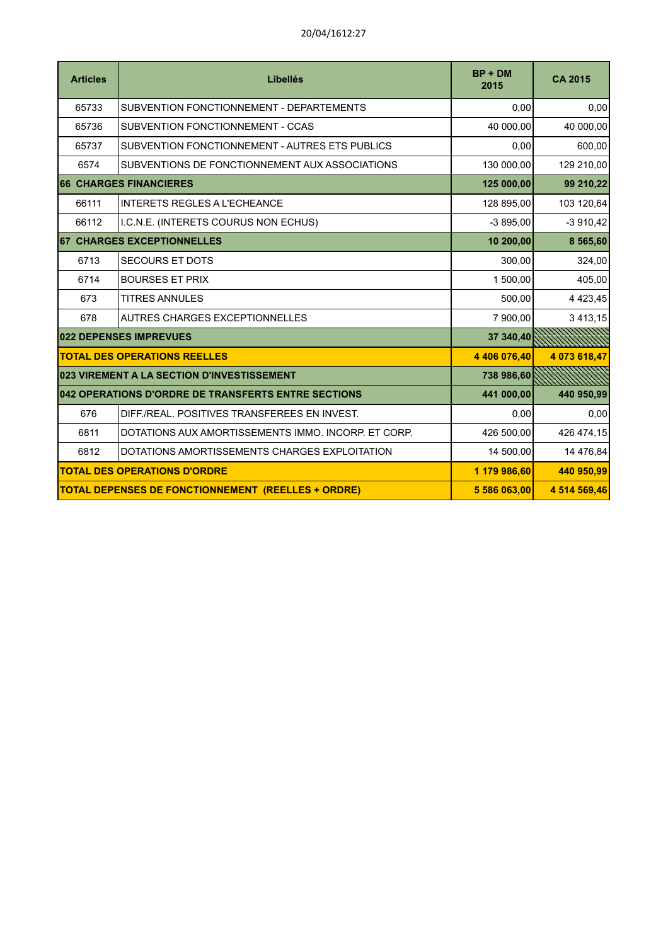| <b>Articles</b> | Libellés                                                  | $BP + DM$<br>2015 | <b>CA 2015</b> |
|-----------------|-----------------------------------------------------------|-------------------|----------------|
| 65733           | SUBVENTION FONCTIONNEMENT - DEPARTEMENTS                  | 0,00              | 0,00           |
| 65736           | SUBVENTION FONCTIONNEMENT - CCAS                          | 40 000,00         | 40 000,00      |
| 65737           | SUBVENTION FONCTIONNEMENT - AUTRES ETS PUBLICS            | 0,00              | 600,00         |
| 6574            | SUBVENTIONS DE FONCTIONNEMENT AUX ASSOCIATIONS            | 130 000,00        | 129 210,00     |
|                 | <b>66 CHARGES FINANCIERES</b>                             | 125 000,00        | 99 210,22      |
| 66111           | <b>INTERETS REGLES A L'ECHEANCE</b>                       | 128 895,00        | 103 120,64     |
| 66112           | I.C.N.E. (INTERETS COURUS NON ECHUS)                      | $-3895,00$        | $-3910,42$     |
|                 | <b>67 CHARGES EXCEPTIONNELLES</b>                         | 10 200,00         | 8 5 6 5,60     |
| 6713            | <b>SECOURS ET DOTS</b>                                    | 300,00            | 324,00         |
| 6714            | <b>BOURSES ET PRIX</b>                                    | 1 500,00          | 405,00         |
| 673             | <b>TITRES ANNULES</b>                                     | 500,00            | 4 4 2 3 , 4 5  |
| 678             | <b>AUTRES CHARGES EXCEPTIONNELLES</b>                     | 7 900,00          | 3 4 1 3 , 1 5  |
|                 | 022 DEPENSES IMPREVUES                                    | 37 340,40         |                |
|                 | <b>TOTAL DES OPERATIONS REELLES</b>                       | 4 406 076,40      | 4 073 618,47   |
|                 | 023 VIREMENT A LA SECTION D'INVESTISSEMENT                | 738 986,60        |                |
|                 | 042 OPERATIONS D'ORDRE DE TRANSFERTS ENTRE SECTIONS       | 441 000,00        | 440 950,99     |
| 676             | DIFF./REAL. POSITIVES TRANSFEREES EN INVEST.              | 0,00              | 0,00           |
| 6811            | DOTATIONS AUX AMORTISSEMENTS IMMO. INCORP. ET CORP.       | 426 500,00        | 426 474,15     |
| 6812            | DOTATIONS AMORTISSEMENTS CHARGES EXPLOITATION             | 14 500,00         | 14 476,84      |
|                 | <b>TOTAL DES OPERATIONS D'ORDRE</b>                       | 1 179 986,60      | 440 950,99     |
|                 | <b>TOTAL DEPENSES DE FONCTIONNEMENT (REELLES + ORDRE)</b> | 5 586 063,00      | 4 514 569,46   |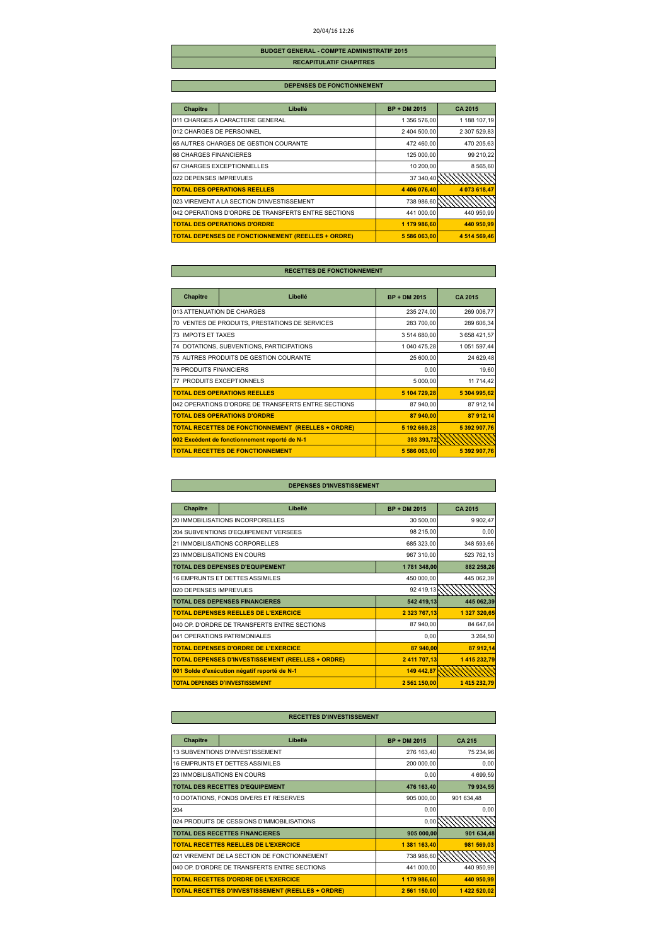#### 20/04/16 12:26

### **BUDGET GENERAL - COMPTE ADMINISTRATIF 2015 RECAPITULATIF CHAPITRES**

#### **DEPENSES DE FONCTIONNEMENT**

| <b>Chapitre</b>          | Libellé                                                   | <b>BP + DM 2015</b> | <b>CA 2015</b> |
|--------------------------|-----------------------------------------------------------|---------------------|----------------|
|                          | 011 CHARGES A CARACTERE GENERAL                           | 1 356 576,00        | 1 188 107,19   |
| 012 CHARGES DE PERSONNEL |                                                           | 2 404 500,00        | 2 307 529,83   |
|                          | 65 AUTRES CHARGES DE GESTION COURANTE                     | 472 460,00          | 470 205,63     |
| 66 CHARGES FINANCIERES   |                                                           | 125 000,00          | 99 210,22      |
|                          | 67 CHARGES EXCEPTIONNELLES                                | 10 200,00           | 8 565,60       |
| 022 DEPENSES IMPREVUES   |                                                           | 37 340.40           |                |
|                          | <b>TOTAL DES OPERATIONS REELLES</b>                       | 4 406 076.40        | 4 073 618,47   |
|                          | 023 VIREMENT A LA SECTION D'INVESTISSEMENT                | 738 986,60          |                |
|                          | 042 OPERATIONS D'ORDRE DE TRANSFERTS ENTRE SECTIONS       | 441 000,00          | 440 950.99     |
|                          | <b>TOTAL DES OPERATIONS D'ORDRE</b>                       | 1 179 986.60        | 440 950.99     |
|                          | <b>TOTAL DEPENSES DE FONCTIONNEMENT (REELLES + ORDRE)</b> | 5 586 063,00        | 4 514 569.46   |

### **RECETTES DE FONCTIONNEMENT**

| <b>Chapitre</b>               | Libellé                                                   | <b>BP + DM 2015</b> | <b>CA 2015</b> |
|-------------------------------|-----------------------------------------------------------|---------------------|----------------|
| 013 ATTENUATION DE CHARGES    |                                                           | 235 274,00          | 269 006,77     |
|                               | 70 VENTES DE PRODUITS, PRESTATIONS DE SERVICES            | 283 700,00          | 289 606,34     |
| 73 IMPOTS ET TAXES            |                                                           | 3 514 680,00        | 3 658 421,57   |
|                               | 74 DOTATIONS, SUBVENTIONS, PARTICIPATIONS                 | 1 040 475,28        | 1 051 597,44   |
|                               | 75 AUTRES PRODUITS DE GESTION COURANTE                    | 25 600,00           | 24 629,48      |
| <b>76 PRODUITS FINANCIERS</b> |                                                           | 0,00                | 19,60          |
| 77 PRODUITS EXCEPTIONNELS     |                                                           | 5 000,00            | 11 714,42      |
|                               | <b>TOTAL DES OPERATIONS REELLES</b>                       | 5 104 729,28        | 5 304 995,62   |
|                               | 042 OPERATIONS D'ORDRE DE TRANSFERTS ENTRE SECTIONS       | 87 940,00           | 87 912.14      |
|                               | <b>TOTAL DES OPERATIONS D'ORDRE</b>                       | 87 940.00           | 87 912.14      |
|                               | <b>TOTAL RECETTES DE FONCTIONNEMENT (REELLES + ORDRE)</b> | 5 192 669,28        | 5 392 907,76   |
|                               | 002 Excédent de fonctionnement reporté de N-1             | 393 393 72          |                |
|                               | <b>TOTAL RECETTES DE FONCTIONNEMENT</b>                   | 5 586 063,00        | 5 392 907,76   |

### **DEPENSES D'INVESTISSEMENT**

| Chapitre               | Libellé                                                  | <b>BP + DM 2015</b> | CA 2015      |
|------------------------|----------------------------------------------------------|---------------------|--------------|
|                        | 20 IMMOBILISATIONS INCORPORELLES                         | 30 500,00           | 9 902,47     |
|                        | 204 SUBVENTIONS D'EQUIPEMENT VERSEES                     | 98 215,00           | 0,00         |
|                        | 21 IMMOBILISATIONS CORPORELLES                           | 685 323,00          | 348 593,66   |
|                        | 23 IMMOBILISATIONS EN COURS                              | 967 310,00          | 523 762,13   |
|                        | TOTAL DES DEPENSES D'EQUIPEMENT                          | 1 781 348,00        | 882 258,26   |
|                        | <b>16 EMPRUNTS ET DETTES ASSIMILES</b>                   | 450 000,00          | 445 062,39   |
| 020 DEPENSES IMPREVUES |                                                          | 92 419,13           |              |
|                        | <b>TOTAL DES DEPENSES FINANCIERES</b>                    | 542 419,13          | 445 062,39   |
|                        | <b>TOTAL DEPENSES REELLES DE L'EXERCICE</b>              | 2 323 767,13        | 1 327 320,65 |
|                        | 040 OP. D'ORDRE DE TRANSFERTS ENTRE SECTIONS             | 87 940.00           | 84 647,64    |
|                        | 041 OPERATIONS PATRIMONIALES                             | 0,00                | 3 2 64,50    |
|                        | <b>TOTAL DEPENSES D'ORDRE DE L'EXERCICE</b>              | 87 940,00           | 87 912,14    |
|                        | <b>TOTAL DEPENSES D'INVESTISSEMENT (REELLES + ORDRE)</b> | 2411 707,13         | 1 415 232,79 |
|                        | 001 Solde d'exécution négatif reporté de N-1             | 149 442,87          |              |
|                        | <b>TOTAL DEPENSES D'INVESTISSEMENT</b>                   | 2 561 150,00        | 1415232,79   |

| Chapitre | Libellé                                                  | <b>BP + DM 2015</b> | <b>CA215</b> |
|----------|----------------------------------------------------------|---------------------|--------------|
|          | 13 SUBVENTIONS D'INVESTISSEMENT                          | 276 163,40          | 75 234,96    |
|          | 16 EMPRUNTS ET DETTES ASSIMILES                          | 200 000,00          | 0,00         |
|          | 23 IMMOBILISATIONS EN COURS                              | 0.00                | 4 699,59     |
|          | <b>TOTAL DES RECETTES D'EQUIPEMENT</b>                   | 476 163,40          | 79 934,55    |
|          | 10 DOTATIONS, FONDS DIVERS ET RESERVES                   | 905 000,00          | 901 634.48   |
| 204      |                                                          | 0,00                | 0,00         |
|          | 024 PRODUITS DE CESSIONS D'IMMOBILISATIONS               | 0,00                |              |
|          | <b>TOTAL DES RECETTES FINANCIERES</b>                    | 905 000,00          | 901 634,48   |
|          | <b>TOTAL RECETTES REELLES DE L'EXERCICE</b>              | 1 381 163,40        | 981 569.03   |
|          | 021 VIREMENT DE LA SECTION DE FONCTIONNEMENT             | 738 986,60          |              |
|          | 040 OP. D'ORDRE DE TRANSFERTS ENTRE SECTIONS             | 441 000,00          | 440 950,99   |
|          | <b>TOTAL RECETTES D'ORDRE DE L'EXERCICE</b>              | 1 179 986,60        | 440 950.99   |
|          | <b>TOTAL RECETTES D'INVESTISSEMENT (REELLES + ORDRE)</b> | 2 561 150,00        | 1 422 520,02 |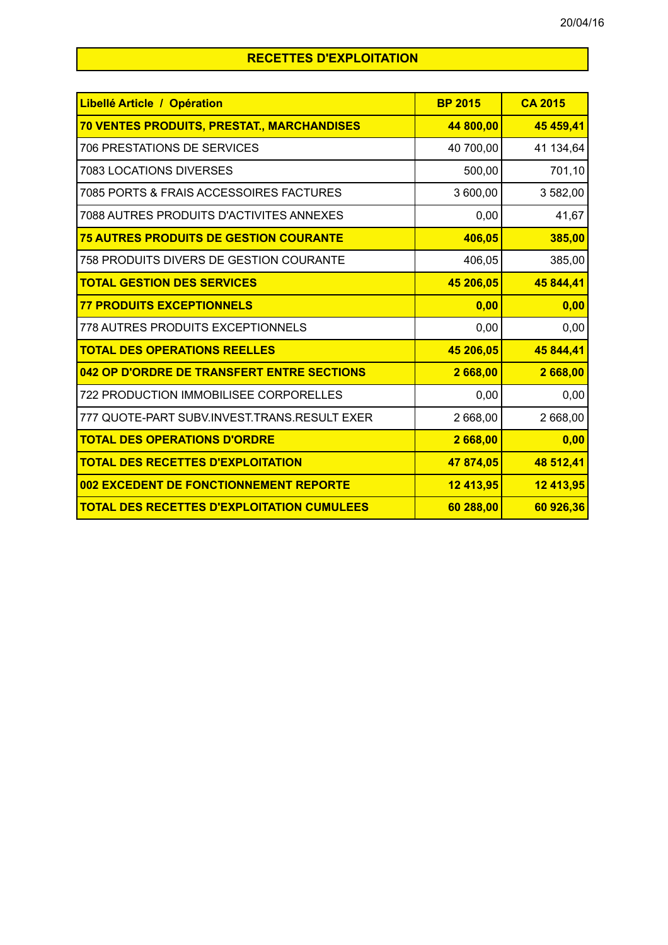# **RECETTES D'EXPLOITATION**

| Libellé Article / Opération                       | <b>BP 2015</b> | <b>CA 2015</b> |
|---------------------------------------------------|----------------|----------------|
| <b>70 VENTES PRODUITS, PRESTAT., MARCHANDISES</b> | 44 800,00      | 45 459,41      |
| <b>706 PRESTATIONS DE SERVICES</b>                | 40 700,00      | 41 134,64      |
| 7083 LOCATIONS DIVERSES                           | 500,00         | 701,10         |
| 7085 PORTS & FRAIS ACCESSOIRES FACTURES           | 3 600,00       | 3 582,00       |
| 7088 AUTRES PRODUITS D'ACTIVITES ANNEXES          | 0,00           | 41,67          |
| <b>75 AUTRES PRODUITS DE GESTION COURANTE</b>     | 406,05         | 385,00         |
| 758 PRODUITS DIVERS DE GESTION COURANTE           | 406,05         | 385,00         |
| <b>TOTAL GESTION DES SERVICES</b>                 | 45 206,05      | 45 844,41      |
| <b>77 PRODUITS EXCEPTIONNELS</b>                  | 0,00           | 0,00           |
| 778 AUTRES PRODUITS EXCEPTIONNELS                 | 0,00           | 0,00           |
| <b>TOTAL DES OPERATIONS REELLES</b>               | 45 206,05      | 45 844,41      |
| 042 OP D'ORDRE DE TRANSFERT ENTRE SECTIONS        | 2 668,00       | 2 668,00       |
| 722 PRODUCTION IMMOBILISEE CORPORELLES            | 0,00           | 0,00           |
| 777 QUOTE-PART SUBV.INVEST.TRANS.RESULT EXER      | 2 668,00       | 2 668,00       |
| <b>TOTAL DES OPERATIONS D'ORDRE</b>               | 2 668,00       | 0,00           |
| <b>TOTAL DES RECETTES D'EXPLOITATION</b>          | 47 874,05      | 48 512,41      |
| 002 EXCEDENT DE FONCTIONNEMENT REPORTE            | 12 413,95      | 12 413,95      |
| <b>TOTAL DES RECETTES D'EXPLOITATION CUMULEES</b> | 60 288,00      | 60 926,36      |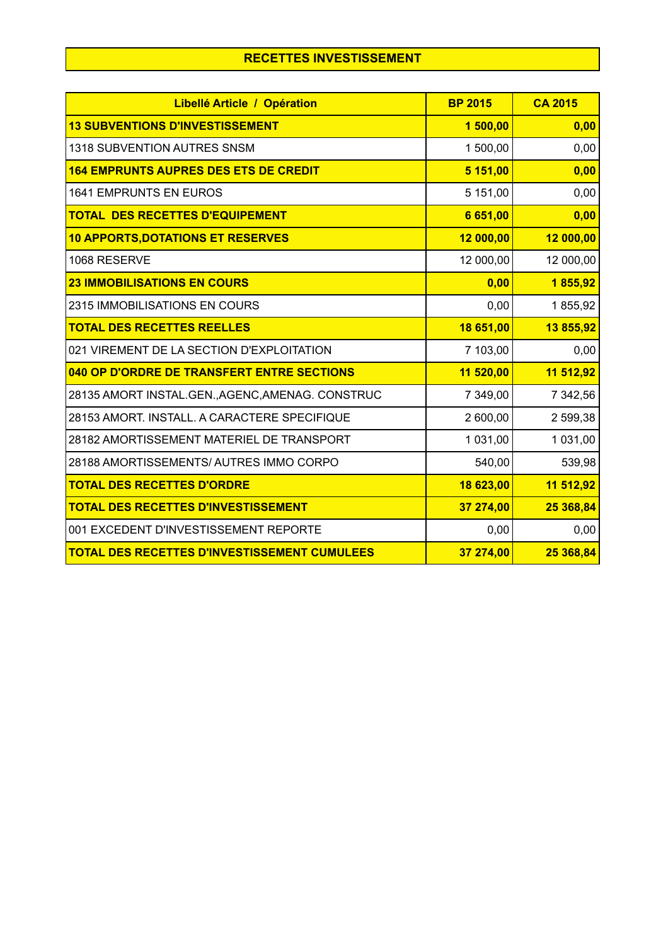| Libellé Article / Opération                         | <b>BP 2015</b> | <b>CA 2015</b> |
|-----------------------------------------------------|----------------|----------------|
| <b>13 SUBVENTIONS D'INVESTISSEMENT</b>              | 1500,00        | 0,00           |
| 1318 SUBVENTION AUTRES SNSM                         | 1 500,00       | 0,00           |
| <b>164 EMPRUNTS AUPRES DES ETS DE CREDIT</b>        | 5 151,00       | 0,00           |
| <b>1641 EMPRUNTS EN EUROS</b>                       | 5 151,00       | 0,00           |
| <b>TOTAL DES RECETTES D'EQUIPEMENT</b>              | 6 651,00       | 0,00           |
| <b>10 APPORTS, DOTATIONS ET RESERVES</b>            | 12 000,00      | 12 000,00      |
| 1068 RESERVE                                        | 12 000,00      | 12 000,00      |
| <b>23 IMMOBILISATIONS EN COURS</b>                  | 0,00           | 1855,92        |
| 2315 IMMOBILISATIONS EN COURS                       | 0,00           | 1855,92        |
| <b>TOTAL DES RECETTES REELLES</b>                   | 18 651,00      | 13 855,92      |
| 021 VIREMENT DE LA SECTION D'EXPLOITATION           | 7 103,00       | 0,00           |
| 040 OP D'ORDRE DE TRANSFERT ENTRE SECTIONS          | 11 520,00      | 11 512,92      |
| 28135 AMORT INSTAL.GEN., AGENC, AMENAG. CONSTRUC    | 7 349,00       | 7 342,56       |
| 28153 AMORT. INSTALL. A CARACTERE SPECIFIQUE        | 2 600,00       | 2 599,38       |
| 28182 AMORTISSEMENT MATERIEL DE TRANSPORT           | 1 031,00       | 1 031,00       |
| 28188 AMORTISSEMENTS/ AUTRES IMMO CORPO             | 540,00         | 539,98         |
| <b>TOTAL DES RECETTES D'ORDRE</b>                   | 18 623,00      | 11 512,92      |
| <b>TOTAL DES RECETTES D'INVESTISSEMENT</b>          | 37 274,00      | 25 368,84      |
| 001 EXCEDENT D'INVESTISSEMENT REPORTE               | 0,00           | 0,00           |
| <b>TOTAL DES RECETTES D'INVESTISSEMENT CUMULEES</b> | 37 274,00      | 25 368,84      |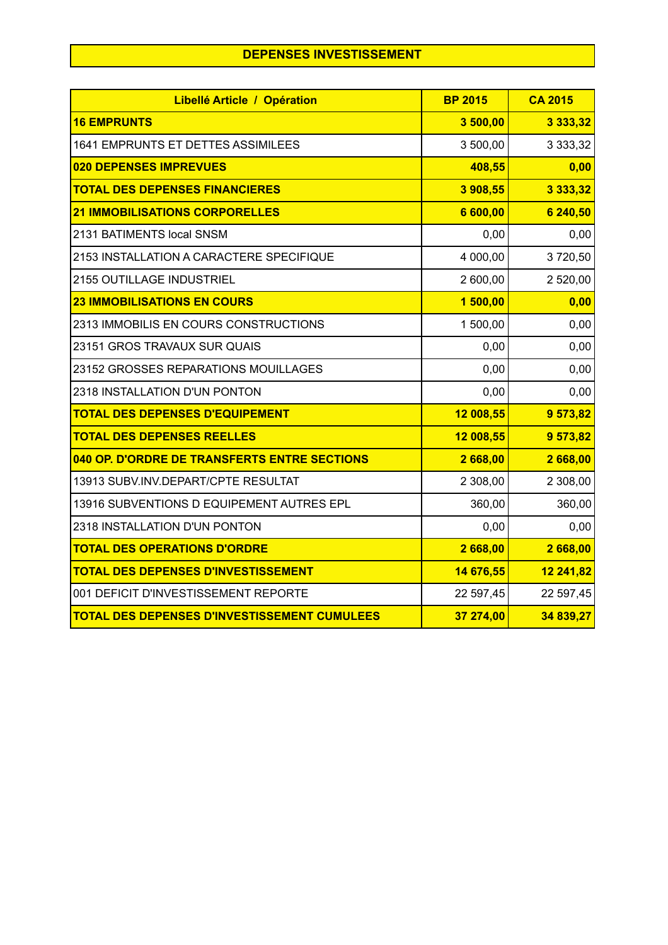## **DEPENSES INVESTISSEMENT**

| Libellé Article / Opération                         | <b>BP 2015</b> | <b>CA 2015</b> |
|-----------------------------------------------------|----------------|----------------|
| <b>16 EMPRUNTS</b>                                  | 3 500,00       | 3 3 3 3 3 3 2  |
| 1641 EMPRUNTS ET DETTES ASSIMILEES                  | 3 500,00       | 3 3 3 3 , 3 2  |
| 020 DEPENSES IMPREVUES                              | 408,55         | 0,00           |
| <b>TOTAL DES DEPENSES FINANCIERES</b>               | 3 908,55       | 3 3 3 3 , 3 2  |
| <b>21 IMMOBILISATIONS CORPORELLES</b>               | 6 600,00       | 6 240,50       |
| 2131 BATIMENTS local SNSM                           | 0,00           | 0,00           |
| 2153 INSTALLATION A CARACTERE SPECIFIQUE            | 4 000,00       | 3720,50        |
| 2155 OUTILLAGE INDUSTRIEL                           | 2 600,00       | 2 520,00       |
| <b>23 IMMOBILISATIONS EN COURS</b>                  | 1 500,00       | 0,00           |
| 2313 IMMOBILIS EN COURS CONSTRUCTIONS               | 1 500,00       | 0,00           |
| 23151 GROS TRAVAUX SUR QUAIS                        | 0,00           | 0,00           |
| 23152 GROSSES REPARATIONS MOUILLAGES                | 0,00           | 0,00           |
| 2318 INSTALLATION D'UN PONTON                       | 0,00           | 0,00           |
| <b>TOTAL DES DEPENSES D'EQUIPEMENT</b>              | 12 008,55      | 9 573,82       |
| <b>TOTAL DES DEPENSES REELLES</b>                   | 12 008,55      | 9 573,82       |
| 040 OP. D'ORDRE DE TRANSFERTS ENTRE SECTIONS        | 2 668,00       | 2668,00        |
| 13913 SUBV.INV.DEPART/CPTE RESULTAT                 | 2 308,00       | 2 308,00       |
| 13916 SUBVENTIONS D EQUIPEMENT AUTRES EPL           | 360,00         | 360,00         |
| 2318 INSTALLATION D'UN PONTON                       | 0,00           | 0,00           |
| <b>TOTAL DES OPERATIONS D'ORDRE</b>                 | 2668,00        | 2668,00        |
| <b>TOTAL DES DEPENSES D'INVESTISSEMENT</b>          | 14 676,55      | 12 241,82      |
| 001 DEFICIT D'INVESTISSEMENT REPORTE                | 22 597,45      | 22 597,45      |
| <b>TOTAL DES DEPENSES D'INVESTISSEMENT CUMULEES</b> | 37 274,00      | 34 839,27      |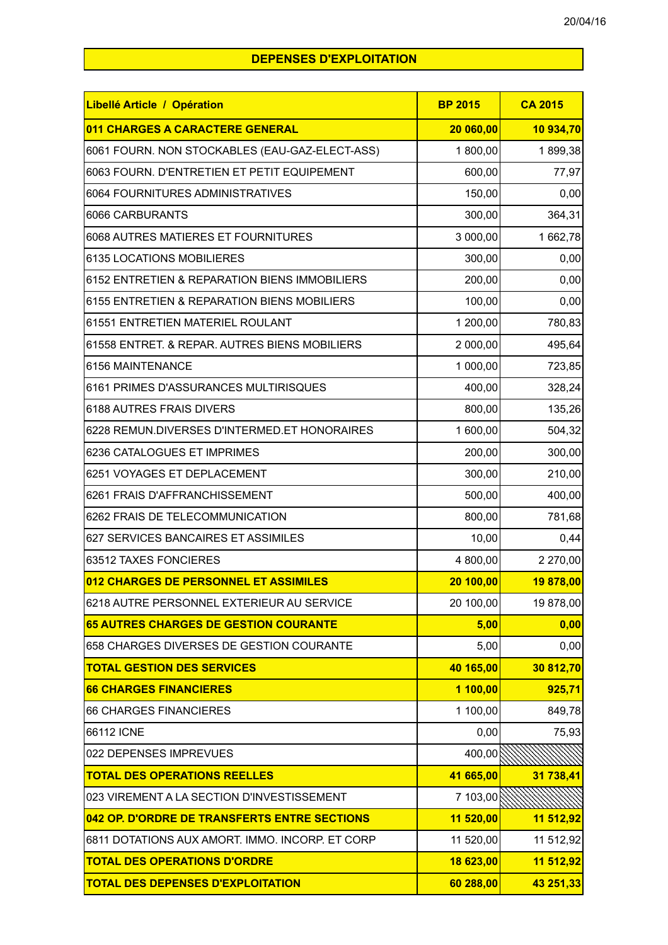## **DEPENSES D'EXPLOITATION**

| Libellé Article / Opération                     | <b>BP 2015</b> | <b>CA 2015</b> |
|-------------------------------------------------|----------------|----------------|
| 011 CHARGES A CARACTERE GENERAL                 | 20 060,00      | 10 934,70      |
| 6061 FOURN. NON STOCKABLES (EAU-GAZ-ELECT-ASS)  | 1800,00        | 1899,38        |
| 6063 FOURN. D'ENTRETIEN ET PETIT EQUIPEMENT     | 600,00         | 77,97          |
| 6064 FOURNITURES ADMINISTRATIVES                | 150,00         | 0,00           |
| 6066 CARBURANTS                                 | 300,00         | 364,31         |
| 6068 AUTRES MATIERES ET FOURNITURES             | 3 000,00       | 1662,78        |
| 6135 LOCATIONS MOBILIERES                       | 300,00         | 0,00           |
| 6152 ENTRETIEN & REPARATION BIENS IMMOBILIERS   | 200,00         | 0,00           |
| 6155 ENTRETIEN & REPARATION BIENS MOBILIERS     | 100,00         | 0,00           |
| 61551 ENTRETIEN MATERIEL ROULANT                | 1 200,00       | 780,83         |
| 61558 ENTRET. & REPAR. AUTRES BIENS MOBILIERS   | 2 000,00       | 495,64         |
| 6156 MAINTENANCE                                | 1 000,00       | 723,85         |
| 6161 PRIMES D'ASSURANCES MULTIRISQUES           | 400,00         | 328,24         |
| 6188 AUTRES FRAIS DIVERS                        | 800,00         | 135,26         |
| 6228 REMUN.DIVERSES D'INTERMED.ET HONORAIRES    | 1 600,00       | 504,32         |
| 6236 CATALOGUES ET IMPRIMES                     | 200,00         | 300,00         |
| 6251 VOYAGES ET DEPLACEMENT                     | 300,00         | 210,00         |
| 6261 FRAIS D'AFFRANCHISSEMENT                   | 500,00         | 400,00         |
| 6262 FRAIS DE TELECOMMUNICATION                 | 800,00         | 781,68         |
| 627 SERVICES BANCAIRES ET ASSIMILES             | 10,00          | 0,44           |
| 63512 TAXES FONCIERES                           | 4 800,00       | 2 270,00       |
| 012 CHARGES DE PERSONNEL ET ASSIMILES           | 20 100,00      | 19 878,00      |
| 6218 AUTRE PERSONNEL EXTERIEUR AU SERVICE       | 20 100,00      | 19 878,00      |
| <b>65 AUTRES CHARGES DE GESTION COURANTE</b>    | 5,00           | 0,00           |
| 658 CHARGES DIVERSES DE GESTION COURANTE        | 5,00           | 0,00           |
| <b>TOTAL GESTION DES SERVICES</b>               | 40 165,00      | 30 812,70      |
| <b>66 CHARGES FINANCIERES</b>                   | 1 100,00       | 925,71         |
| <b>66 CHARGES FINANCIERES</b>                   | 1 100,00       | 849,78         |
| 66112 ICNE                                      | 0,00           | 75,93          |
| 022 DEPENSES IMPREVUES                          | 400,00         |                |
| <b>TOTAL DES OPERATIONS REELLES</b>             | 41 665,00      | 31 738,41      |
| 023 VIREMENT A LA SECTION D'INVESTISSEMENT      | 7 103,00       |                |
| 042 OP. D'ORDRE DE TRANSFERTS ENTRE SECTIONS    | 11 520,00      | 11 512,92      |
| 6811 DOTATIONS AUX AMORT. IMMO. INCORP. ET CORP | 11 520,00      | 11 512,92      |
| <b>TOTAL DES OPERATIONS D'ORDRE</b>             | 18 623,00      | 11 512,92      |
| <b>TOTAL DES DEPENSES D'EXPLOITATION</b>        | 60 288,00      | 43 251,33      |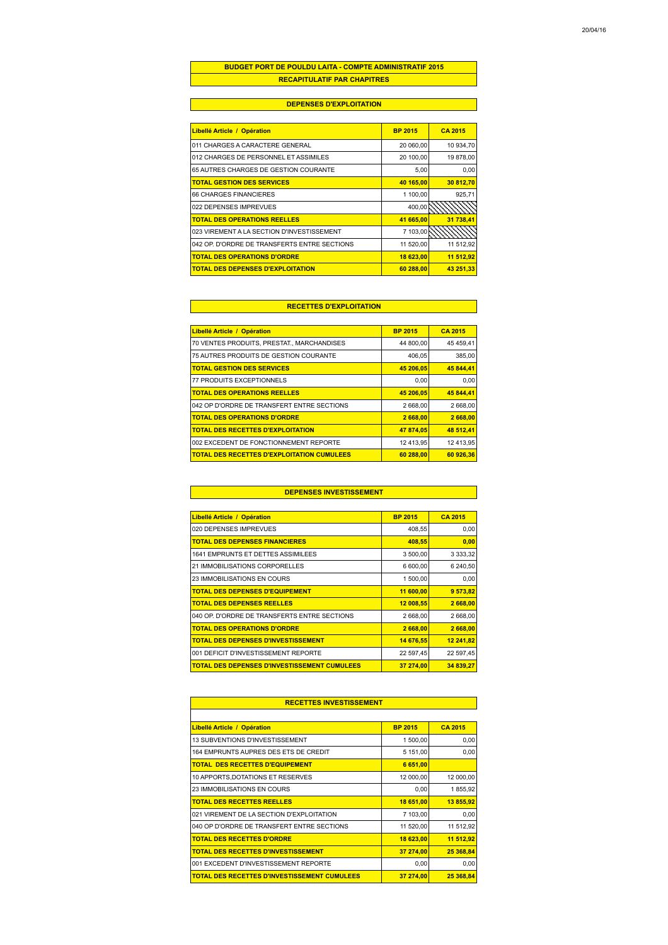### **BUDGET PORT DE POULDU LAITA - COMPTE ADMINISTRATIF 2015 RECAPITULATIF PAR CHAPITRES**

### **DEPENSES D'EXPLOITATION**

| Libellé Article / Opération                  | <b>BP 2015</b> | <b>CA 2015</b> |
|----------------------------------------------|----------------|----------------|
| 011 CHARGES A CARACTERE GENERAL              | 20 060,00      | 10 934.70      |
| 012 CHARGES DE PERSONNEL ET ASSIMILES        | 20 100,00      | 19 878,00      |
| 65 AUTRES CHARGES DE GESTION COURANTE        | 5.00           | 0.00           |
| <b>TOTAL GESTION DES SERVICES</b>            | 40 165.00      | 30 812.70      |
| <b>66 CHARGES FINANCIERES</b>                | 1 100,00       | 925,71         |
| 022 DEPENSES IMPREVUES                       | 400,00         |                |
| <b>TOTAL DES OPERATIONS REELLES</b>          | 41 665,00      | 31 738,41      |
| 023 VIREMENT A LA SECTION D'INVESTISSEMENT   | 7 103,00       |                |
| 042 OP. D'ORDRE DE TRANSFERTS ENTRE SECTIONS | 11 520,00      | 11 512,92      |
| <b>TOTAL DES OPERATIONS D'ORDRE</b>          | 18 623.00      | 11 512.92      |
| <b>TOTAL DES DEPENSES D'EXPLOITATION</b>     | 60 288.00      | 43 251 33      |

### **RECETTES D'EXPLOITATION**

| Libellé Article / Opération                       | <b>BP 2015</b> | <b>CA 2015</b> |
|---------------------------------------------------|----------------|----------------|
| 70 VENTES PRODUITS, PRESTAT., MARCHANDISES        | 44 800.00      | 45 459.41      |
| 75 AUTRES PRODUITS DE GESTION COURANTE            | 406.05         | 385,00         |
| <b>TOTAL GESTION DES SERVICES</b>                 | 45 206.05      | 45 844.41      |
| 77 PRODUITS EXCEPTIONNELS                         | 0,00           | 0.00           |
| <b>TOTAL DES OPERATIONS REELLES</b>               | 45 206.05      | 45 844.41      |
| 042 OP D'ORDRE DE TRANSFERT ENTRE SECTIONS        | 2 668,00       | 2 668.00       |
| <b>TOTAL DES OPERATIONS D'ORDRE</b>               | 2 668,00       | 2 668,00       |
| <b>TOTAL DES RECETTES D'EXPLOITATION</b>          | 47 874,05      | 48 512.41      |
| 002 EXCEDENT DE FONCTIONNEMENT REPORTE            | 12 413.95      | 12 413.95      |
| <b>TOTAL DES RECETTES D'EXPLOITATION CUMULEES</b> | 60 288.00      | 60 926.36      |

### **DEPENSES INVESTISSEMENT**

| Libellé Article / Opération                  | <b>BP 2015</b> | <b>CA 2015</b> |
|----------------------------------------------|----------------|----------------|
| 020 DEPENSES IMPREVUES                       | 408,55         | 0,00           |
| <b>TOTAL DES DEPENSES FINANCIERES</b>        | 408,55         | 0,00           |
| 1641 EMPRUNTS ET DETTES ASSIMILEES           | 3 500,00       | 3 3 3 3 3 2    |
| 21 IMMOBILISATIONS CORPORELLES               | 6 600,00       | 6 240,50       |
| 23 IMMOBILISATIONS EN COURS                  | 1 500,00       | 0,00           |
| <b>TOTAL DES DEPENSES D'EQUIPEMENT</b>       | 11 600,00      | 9 573,82       |
| <b>TOTAL DES DEPENSES REELLES</b>            | 12 008,55      | 2 668,00       |
| 040 OP. D'ORDRE DE TRANSFERTS ENTRE SECTIONS | 2 668,00       | 2 668,00       |
| <b>TOTAL DES OPERATIONS D'ORDRE</b>          | 2 668,00       | 2 668,00       |
| <b>TOTAL DES DEPENSES D'INVESTISSEMENT</b>   | 14 676,55      | 12 241,82      |
| 001 DEFICIT D'INVESTISSEMENT REPORTE         | 22 597,45      | 22 597,45      |
| TOTAL DES DEPENSES D'INVESTISSEMENT CUMULEES | 37 274.00      | 34 839.27      |

| Libellé Article / Opération                  | <b>BP 2015</b> | <b>CA 2015</b> |
|----------------------------------------------|----------------|----------------|
| 13 SUBVENTIONS D'INVESTISSEMENT              | 1 500,00       | 0.00           |
| 164 EMPRUNTS AUPRES DES ETS DE CREDIT        | 5 151,00       | 0,00           |
| <b>TOTAL DES RECETTES D'EQUIPEMENT</b>       | 6 651,00       |                |
| 10 APPORTS, DOTATIONS ET RESERVES            | 12 000,00      | 12 000,00      |
| 23 IMMOBILISATIONS EN COURS                  | 0,00           | 1855,92        |
| <b>TOTAL DES RECETTES REELLES</b>            | 18 651,00      | 13 855,92      |
| 021 VIREMENT DE LA SECTION D'EXPLOITATION    | 7 103,00       | 0,00           |
| 040 OP D'ORDRE DE TRANSFERT ENTRE SECTIONS   | 11 520,00      | 11 512.92      |
| <b>TOTAL DES RECETTES D'ORDRE</b>            | 18 623,00      | 11 512,92      |
| <b>TOTAL DES RECETTES D'INVESTISSEMENT</b>   | 37 274,00      | 25 368,84      |
| 001 EXCEDENT D'INVESTISSEMENT REPORTE        | 0.00           | 0,00           |
| TOTAL DES RECETTES D'INVESTISSEMENT CUMULEES | 37 274,00      | 25 368,84      |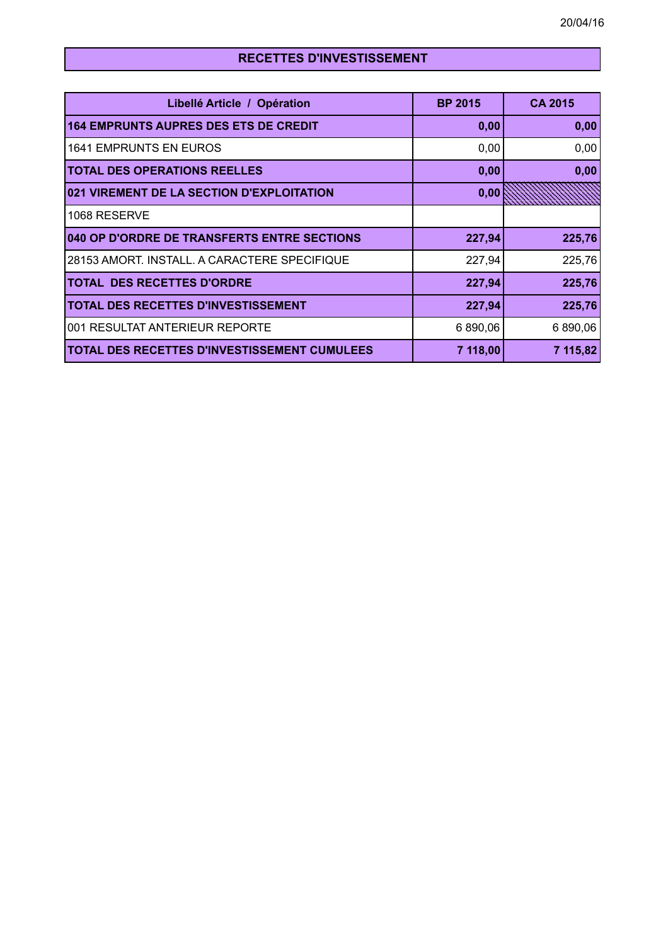| Libellé Article / Opération                         | <b>BP 2015</b> | <b>CA 2015</b> |
|-----------------------------------------------------|----------------|----------------|
| <b>164 EMPRUNTS AUPRES DES ETS DE CREDIT</b>        | 0,00           | 0,00           |
| <b>1641 EMPRUNTS EN EUROS</b>                       | 0,00           | 0,00           |
| <b>TOTAL DES OPERATIONS REELLES</b>                 | 0,00           | 0,00           |
| 021 VIREMENT DE LA SECTION D'EXPLOITATION           | 0,00           |                |
| 1068 RESERVE                                        |                |                |
| 040 OP D'ORDRE DE TRANSFERTS ENTRE SECTIONS         | 227,94         | 225,76         |
| 28153 AMORT. INSTALL. A CARACTERE SPECIFIQUE        | 227,94         | 225,76         |
| <b>TOTAL DES RECETTES D'ORDRE</b>                   | 227,94         | 225,76         |
| <b>TOTAL DES RECETTES D'INVESTISSEMENT</b>          | 227,94         | 225,76         |
| 001 RESULTAT ANTERIEUR REPORTE                      | 6 890,06       | 6 890,06       |
| <b>TOTAL DES RECETTES D'INVESTISSEMENT CUMULEES</b> | 7 118,00       | 7 115,82       |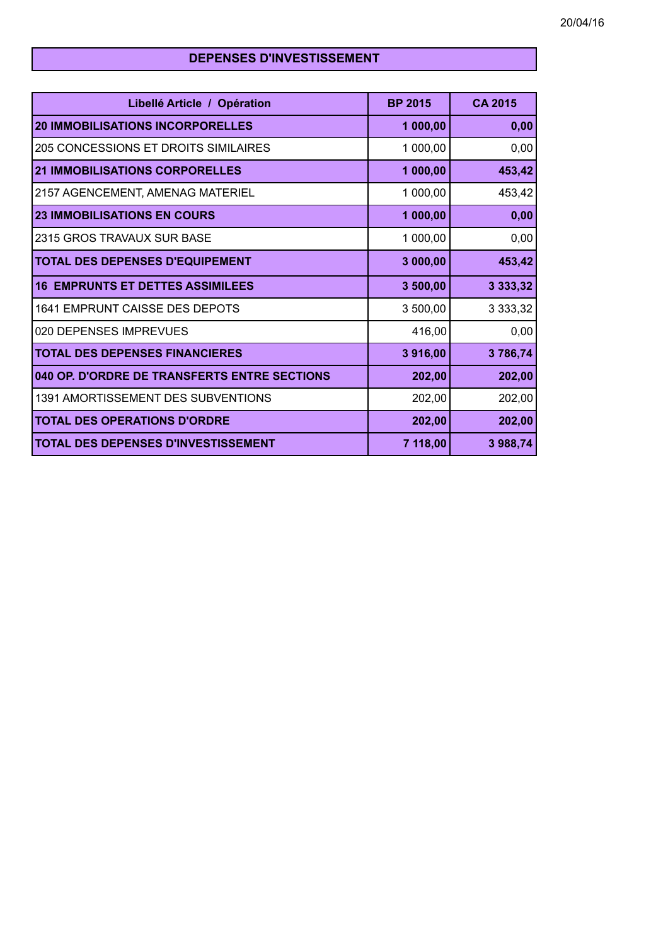## **DEPENSES D'INVESTISSEMENT**

| Libellé Article / Opération                  | <b>BP 2015</b> | <b>CA 2015</b> |
|----------------------------------------------|----------------|----------------|
| <b>20 IMMOBILISATIONS INCORPORELLES</b>      | 1 000,00       | 0,00           |
| 205 CONCESSIONS ET DROITS SIMILAIRES         | 1 000,00       | 0,00           |
| <b>21 IMMOBILISATIONS CORPORELLES</b>        | 1 000,00       | 453,42         |
| 2157 AGENCEMENT, AMENAG MATERIEL             | 1 000,00       | 453,42         |
| <b>23 IMMOBILISATIONS EN COURS</b>           | 1 000,00       | 0,00           |
| 2315 GROS TRAVAUX SUR BASE                   | 1 000,00       | 0,00           |
| TOTAL DES DEPENSES D'EQUIPEMENT              | 3 000,00       | 453,42         |
| <b>16 EMPRUNTS ET DETTES ASSIMILEES</b>      | 3 500,00       | 3 3 3 3 3 3 2  |
| 1641 EMPRUNT CAISSE DES DEPOTS               | 3 500,00       | 3 3 3 3 , 3 2  |
| 020 DEPENSES IMPREVUES                       | 416,00         | 0,00           |
| <b>TOTAL DES DEPENSES FINANCIERES</b>        | 3916,00        | 3786,74        |
| 040 OP. D'ORDRE DE TRANSFERTS ENTRE SECTIONS | 202,00         | 202,00         |
| 1391 AMORTISSEMENT DES SUBVENTIONS           | 202,00         | 202,00         |
| <b>TOTAL DES OPERATIONS D'ORDRE</b>          | 202,00         | 202,00         |
| TOTAL DES DEPENSES D'INVESTISSEMENT          | 7 118,00       | 3 988,74       |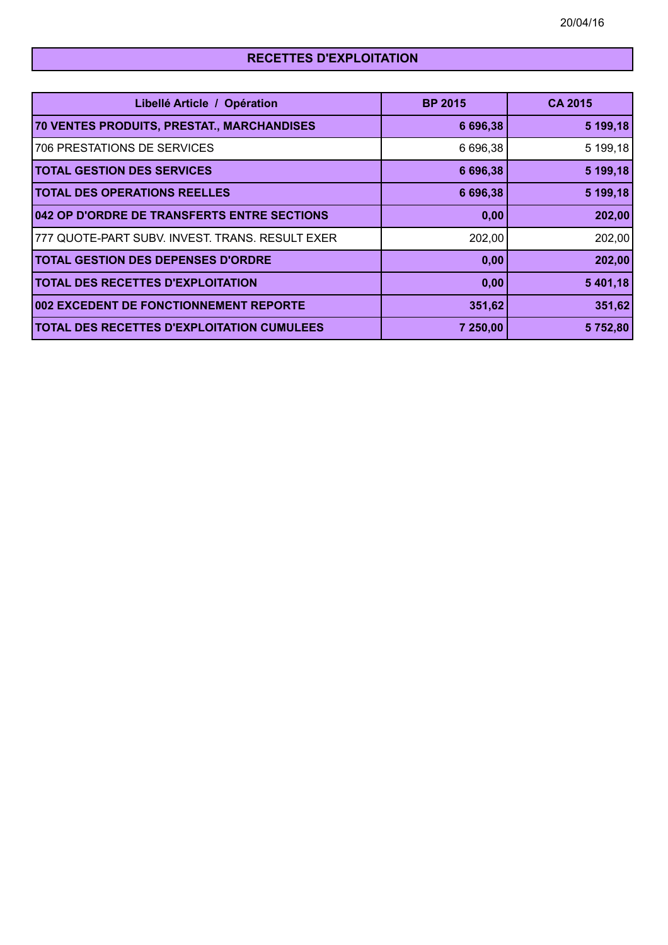# **RECETTES D'EXPLOITATION**

| Libellé Article / Opération                       | <b>BP 2015</b> | <b>CA 2015</b> |
|---------------------------------------------------|----------------|----------------|
| 70 VENTES PRODUITS, PRESTAT., MARCHANDISES        | 6 696,38       | 5 199,18       |
| <b>706 PRESTATIONS DE SERVICES</b>                | 6 696,38       | 5 199,18       |
| <b>TOTAL GESTION DES SERVICES</b>                 | 6 696,38       | 5 199,18       |
| <b>TOTAL DES OPERATIONS REELLES</b>               | 6 696,38       | 5 199,18       |
| 042 OP D'ORDRE DE TRANSFERTS ENTRE SECTIONS       | 0,00           | 202,00         |
| 777 QUOTE-PART SUBV. INVEST. TRANS. RESULT EXER   | 202,00         | 202,00         |
| <b>TOTAL GESTION DES DEPENSES D'ORDRE</b>         | 0,00           | 202,00         |
| <b>TOTAL DES RECETTES D'EXPLOITATION</b>          | 0,00           | 5 401,18       |
| 002 EXCEDENT DE FONCTIONNEMENT REPORTE            | 351,62         | 351,62         |
| <b>TOTAL DES RECETTES D'EXPLOITATION CUMULEES</b> | 7 250,00       | 5752,80        |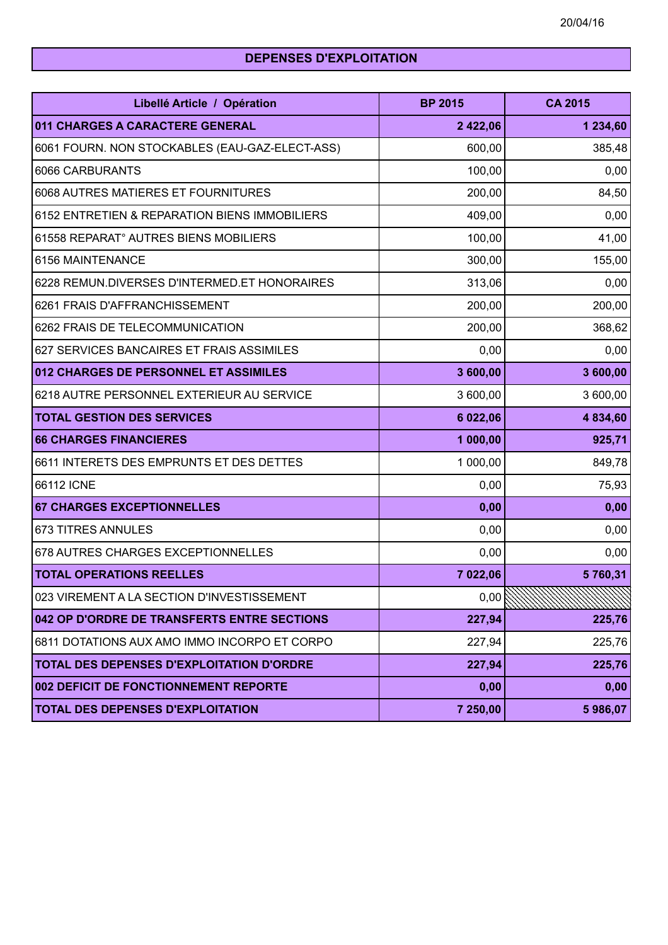# **DEPENSES D'EXPLOITATION**

| Libellé Article / Opération                      | <b>BP 2015</b>  | <b>CA 2015</b>   |
|--------------------------------------------------|-----------------|------------------|
| 011 CHARGES A CARACTERE GENERAL                  | 2 422,06        | 1 234,60         |
| 6061 FOURN. NON STOCKABLES (EAU-GAZ-ELECT-ASS)   | 600,00          | 385,48           |
| 6066 CARBURANTS                                  | 100,00          | 0,00             |
| 6068 AUTRES MATIERES ET FOURNITURES              | 200,00          | 84,50            |
| 6152 ENTRETIEN & REPARATION BIENS IMMOBILIERS    | 409,00          | 0,00             |
| 61558 REPARAT° AUTRES BIENS MOBILIERS            | 100,00          | 41,00            |
| 6156 MAINTENANCE                                 | 300,00          | 155,00           |
| 6228 REMUN.DIVERSES D'INTERMED.ET HONORAIRES     | 313,06          | 0,00             |
| 6261 FRAIS D'AFFRANCHISSEMENT                    | 200,00          | 200,00           |
| 6262 FRAIS DE TELECOMMUNICATION                  | 200,00          | 368,62           |
| 627 SERVICES BANCAIRES ET FRAIS ASSIMILES        | 0,00            | 0,00             |
| 012 CHARGES DE PERSONNEL ET ASSIMILES            | 3 600,00        | 3 600,00         |
| 6218 AUTRE PERSONNEL EXTERIEUR AU SERVICE        | 3 600,00        | 3 600,00         |
| <b>TOTAL GESTION DES SERVICES</b>                | 6 022,06        | 4 834,60         |
| <b>66 CHARGES FINANCIERES</b>                    | 1 000,00        | 925,71           |
| 6611 INTERETS DES EMPRUNTS ET DES DETTES         | 1 000,00        | 849,78           |
| 66112 ICNE                                       | 0,00            | 75,93            |
| <b>67 CHARGES EXCEPTIONNELLES</b>                | 0,00            | 0,00             |
| <b>673 TITRES ANNULES</b>                        | 0,00            | 0,00             |
| 678 AUTRES CHARGES EXCEPTIONNELLES               | 0,00            | 0,00             |
| <b>TOTAL OPERATIONS REELLES</b>                  | 7 022,06        | 5760,31          |
| 023 VIREMENT A LA SECTION D'INVESTISSEMENT       | 0,00 $\sqrt{2}$ | 77777<br>mmmmmmm |
| 042 OP D'ORDRE DE TRANSFERTS ENTRE SECTIONS      | 227,94          | 225,76           |
| 6811 DOTATIONS AUX AMO IMMO INCORPO ET CORPO     | 227,94          | 225,76           |
| <b>TOTAL DES DEPENSES D'EXPLOITATION D'ORDRE</b> | 227,94          | 225,76           |
| 002 DEFICIT DE FONCTIONNEMENT REPORTE            | 0,00            | 0,00             |
| TOTAL DES DEPENSES D'EXPLOITATION                | 7 250,00        | 5986,07          |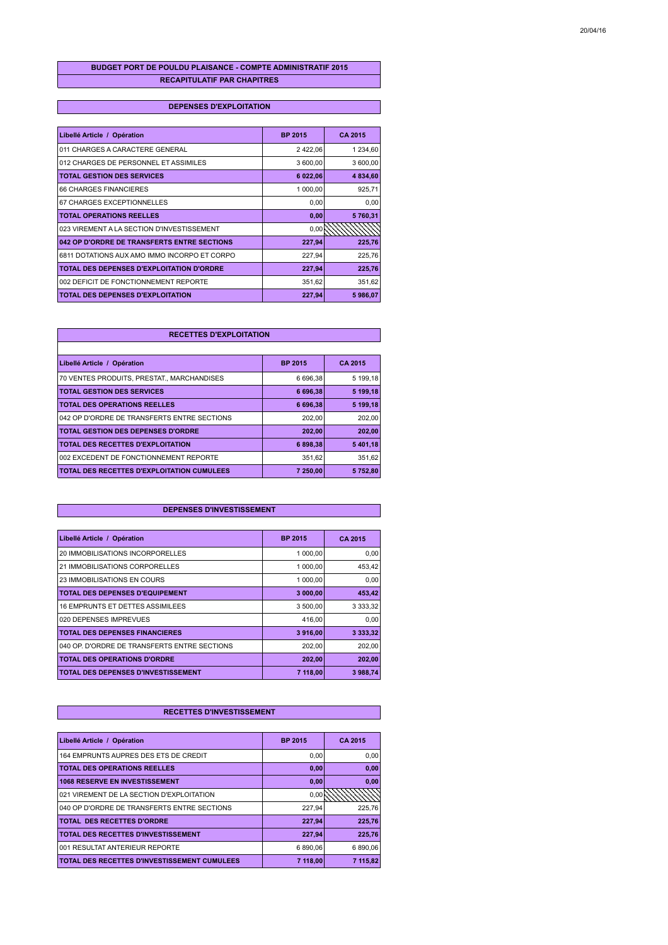### **BUDGET PORT DE POULDU PLAISANCE - COMPTE ADMINISTRATIF 2015 RECAPITULATIF PAR CHAPITRES**

### **DEPENSES D'EXPLOITATION**

| Libellé Article / Opération                  | <b>BP 2015</b> | CA 2015  |
|----------------------------------------------|----------------|----------|
| 011 CHARGES A CARACTERE GENERAL              | 2 422,06       | 1 234,60 |
| 012 CHARGES DE PERSONNEL ET ASSIMILES        | 3 600,00       | 3 600,00 |
| <b>TOTAL GESTION DES SERVICES</b>            | 6 022,06       | 4 834,60 |
| <b>66 CHARGES FINANCIERES</b>                | 1 000,00       | 925,71   |
| 67 CHARGES EXCEPTIONNELLES                   | 0,00           | 0,00     |
| <b>TOTAL OPERATIONS REELLES</b>              | 0,00           | 5760,31  |
| 023 VIREMENT A LA SECTION D'INVESTISSEMENT   | 0,00           |          |
| 042 OP D'ORDRE DE TRANSFERTS ENTRE SECTIONS  | 227,94         | 225,76   |
| 6811 DOTATIONS AUX AMO IMMO INCORPO ET CORPO | 227,94         | 225,76   |
| TOTAL DES DEPENSES D'EXPLOITATION D'ORDRE    | 227,94         | 225,76   |
| 002 DEFICIT DE FONCTIONNEMENT REPORTE        | 351,62         | 351,62   |
| TOTAL DES DEPENSES D'EXPLOITATION            | 227,94         | 5986,07  |

### **RECETTES D'EXPLOITATION**

| Libellé Article / Opération                 | <b>BP 2015</b> | CA 2015  |
|---------------------------------------------|----------------|----------|
| 70 VENTES PRODUITS, PRESTAT., MARCHANDISES  | 6 696,38       | 5 199,18 |
| <b>TOTAL GESTION DES SERVICES</b>           | 6 696.38       | 5 199.18 |
| <b>TOTAL DES OPERATIONS REELLES</b>         | 6 696,38       | 5 199,18 |
| 042 OP D'ORDRE DE TRANSFERTS ENTRE SECTIONS | 202.00         | 202,00   |
| <b>TOTAL GESTION DES DEPENSES D'ORDRE</b>   | 202.00         | 202,00   |
| TOTAL DES RECETTES D'EXPLOITATION           | 6898.38        | 5 401,18 |
| 002 EXCEDENT DE FONCTIONNEMENT REPORTE      | 351.62         | 351,62   |
| TOTAL DES RECETTES D'EXPLOITATION CUMULEES  | 7 250.00       | 5752,80  |

### **DEPENSES D'INVESTISSEMENT**

| Libellé Article / Opération                  | <b>BP 2015</b> | CA 2015     |
|----------------------------------------------|----------------|-------------|
| 20 IMMOBILISATIONS INCORPORELLES             | 1 000,00       | 0,00        |
| 21 IMMOBILISATIONS CORPORELLES               | 1 000.00       | 453,42      |
| 23 IMMOBILISATIONS EN COURS                  | 1 000.00       | 0.00        |
| <b>TOTAL DES DEPENSES D'EQUIPEMENT</b>       | 3 000,00       | 453,42      |
| <b>16 EMPRUNTS ET DETTES ASSIMILEES</b>      | 3 500,00       | 3 3 3 3 3 2 |
| 020 DEPENSES IMPREVUES                       | 416,00         | 0.00        |
| <b>TOTAL DES DEPENSES FINANCIERES</b>        | 3916,00        | 3 3 3 3 3 2 |
| 040 OP. D'ORDRE DE TRANSFERTS ENTRE SECTIONS | 202,00         | 202,00      |
| <b>TOTAL DES OPERATIONS D'ORDRE</b>          | 202,00         | 202,00      |
| TOTAL DES DEPENSES D'INVESTISSEMENT          | 7 118,00       | 3 988,74    |

| Libellé Article / Opération                  | <b>BP 2015</b> | CA 2015  |
|----------------------------------------------|----------------|----------|
| 164 EMPRUNTS AUPRES DES ETS DE CREDIT        | 0,00           | 0.00     |
| <b>TOTAL DES OPERATIONS REELLES</b>          | 0,00           | 0,00     |
| <b>1068 RESERVE EN INVESTISSEMENT</b>        | 0,00           | 0.00     |
| 021 VIREMENT DE LA SECTION D'EXPLOITATION    | 0.00           |          |
| 040 OP D'ORDRE DE TRANSFERTS ENTRE SECTIONS  | 227,94         | 225.76   |
| TOTAL DES RECETTES D'ORDRE                   | 227.94         | 225.76   |
| <b>TOTAL DES RECETTES D'INVESTISSEMENT</b>   | 227,94         | 225.76   |
| 001 RESULTAT ANTERIEUR REPORTE               | 6890.06        | 6 890.06 |
| TOTAL DES RECETTES D'INVESTISSEMENT CUMULEES | 7 118.00       | 7 115.82 |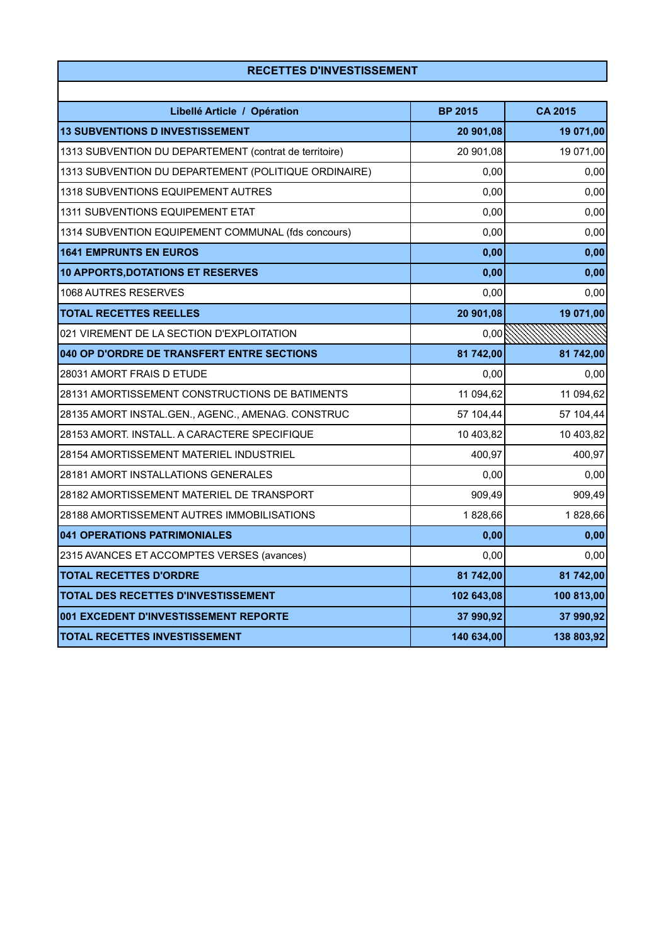| Libellé Article / Opération                            | <b>BP 2015</b> | <b>CA 2015</b> |
|--------------------------------------------------------|----------------|----------------|
| <b>13 SUBVENTIONS D INVESTISSEMENT</b>                 | 20 901,08      | 19 071,00      |
| 1313 SUBVENTION DU DEPARTEMENT (contrat de territoire) | 20 901,08      | 19 071,00      |
| 1313 SUBVENTION DU DEPARTEMENT (POLITIQUE ORDINAIRE)   | 0,00           | 0,00           |
| 1318 SUBVENTIONS EQUIPEMENT AUTRES                     | 0,00           | 0,00           |
| 1311 SUBVENTIONS EQUIPEMENT ETAT                       | 0,00           | 0,00           |
| 1314 SUBVENTION EQUIPEMENT COMMUNAL (fds concours)     | 0,00           | 0,00           |
| <b>1641 EMPRUNTS EN EUROS</b>                          | 0,00           | 0,00           |
| <b>10 APPORTS, DOTATIONS ET RESERVES</b>               | 0,00           | 0,00           |
| 1068 AUTRES RESERVES                                   | 0,00           | 0,00           |
| <b>TOTAL RECETTES REELLES</b>                          | 20 901,08      | 19 071,00      |
| 021 VIREMENT DE LA SECTION D'EXPLOITATION              | 0,00           |                |
| 040 OP D'ORDRE DE TRANSFERT ENTRE SECTIONS             | 81 742,00      | 81 742,00      |
| 28031 AMORT FRAIS D ETUDE                              | 0,00           | 0,00           |
| 28131 AMORTISSEMENT CONSTRUCTIONS DE BATIMENTS         | 11 094,62      | 11 094,62      |
| 28135 AMORT INSTAL.GEN., AGENC., AMENAG. CONSTRUC      | 57 104,44      | 57 104,44      |
| 28153 AMORT. INSTALL. A CARACTERE SPECIFIQUE           | 10 403,82      | 10 403,82      |
| 28154 AMORTISSEMENT MATERIEL INDUSTRIEL                | 400,97         | 400,97         |
| 28181 AMORT INSTALLATIONS GENERALES                    | 0,00           | 0,00           |
| 28182 AMORTISSEMENT MATERIEL DE TRANSPORT              | 909,49         | 909,49         |
| 28188 AMORTISSEMENT AUTRES IMMOBILISATIONS             | 1828,66        | 1828,66        |
| 041 OPERATIONS PATRIMONIALES                           | 0,00           | 0,00           |
| 2315 AVANCES ET ACCOMPTES VERSES (avances)             | 0,00           | 0,00           |
| <b>TOTAL RECETTES D'ORDRE</b>                          | 81 742,00      | 81 742,00      |
| TOTAL DES RECETTES D'INVESTISSEMENT                    | 102 643,08     | 100 813,00     |
| 001 EXCEDENT D'INVESTISSEMENT REPORTE                  | 37 990,92      | 37 990,92      |
| <b>TOTAL RECETTES INVESTISSEMENT</b>                   | 140 634,00     | 138 803,92     |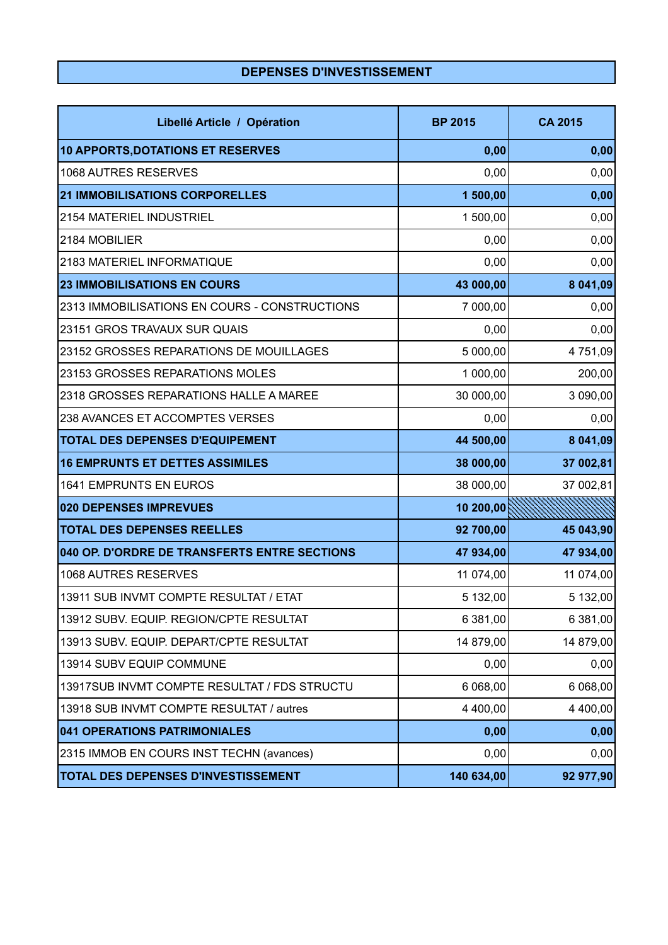# **DEPENSES D'INVESTISSEMENT**

| Libellé Article / Opération                   | <b>BP 2015</b> | <b>CA 2015</b> |
|-----------------------------------------------|----------------|----------------|
| <b>10 APPORTS, DOTATIONS ET RESERVES</b>      | 0,00           | 0,00           |
| 1068 AUTRES RESERVES                          | 0,00           | 0,00           |
| <b>21 IMMOBILISATIONS CORPORELLES</b>         | 1 500,00       | 0,00           |
| 2154 MATERIEL INDUSTRIEL                      | 1 500,00       | 0,00           |
| 2184 MOBILIER                                 | 0,00           | 0,00           |
| 2183 MATERIEL INFORMATIQUE                    | 0,00           | 0,00           |
| <b>23 IMMOBILISATIONS EN COURS</b>            | 43 000,00      | 8 041,09       |
| 2313 IMMOBILISATIONS EN COURS - CONSTRUCTIONS | 7 000,00       | 0,00           |
| 23151 GROS TRAVAUX SUR QUAIS                  | 0,00           | 0,00           |
| 23152 GROSSES REPARATIONS DE MOUILLAGES       | 5 000,00       | 4 751,09       |
| 23153 GROSSES REPARATIONS MOLES               | 1 000,00       | 200,00         |
| 2318 GROSSES REPARATIONS HALLE A MAREE        | 30 000,00      | 3 090,00       |
| 238 AVANCES ET ACCOMPTES VERSES               | 0,00           | 0,00           |
| <b>TOTAL DES DEPENSES D'EQUIPEMENT</b>        | 44 500,00      | 8 041,09       |
| <b>16 EMPRUNTS ET DETTES ASSIMILES</b>        | 38 000,00      | 37 002,81      |
| <b>1641 EMPRUNTS EN EUROS</b>                 | 38 000,00      | 37 002,81      |
| 020 DEPENSES IMPREVUES                        | 10 200,00      |                |
| <b>TOTAL DES DEPENSES REELLES</b>             | 92 700,00      | 45 043,90      |
| 040 OP. D'ORDRE DE TRANSFERTS ENTRE SECTIONS  | 47 934,00      | 47 934,00      |
| 1068 AUTRES RESERVES                          | 11 074,00      | 11 074,00      |
| 13911 SUB INVMT COMPTE RESULTAT / ETAT        | 5 132,00       | 5 132,00       |
| 13912 SUBV. EQUIP. REGION/CPTE RESULTAT       | 6 381,00       | 6 381,00       |
| 13913 SUBV. EQUIP. DEPART/CPTE RESULTAT       | 14 879,00      | 14 879,00      |
| 13914 SUBV EQUIP COMMUNE                      | 0,00           | 0,00           |
| 13917SUB INVMT COMPTE RESULTAT / FDS STRUCTU  | 6 068,00       | 6 068,00       |
| 13918 SUB INVMT COMPTE RESULTAT / autres      | 4 400,00       | 4 400,00       |
| 041 OPERATIONS PATRIMONIALES                  | 0,00           | 0,00           |
| 2315 IMMOB EN COURS INST TECHN (avances)      | 0,00           | 0,00           |
| TOTAL DES DEPENSES D'INVESTISSEMENT           | 140 634,00     | 92 977,90      |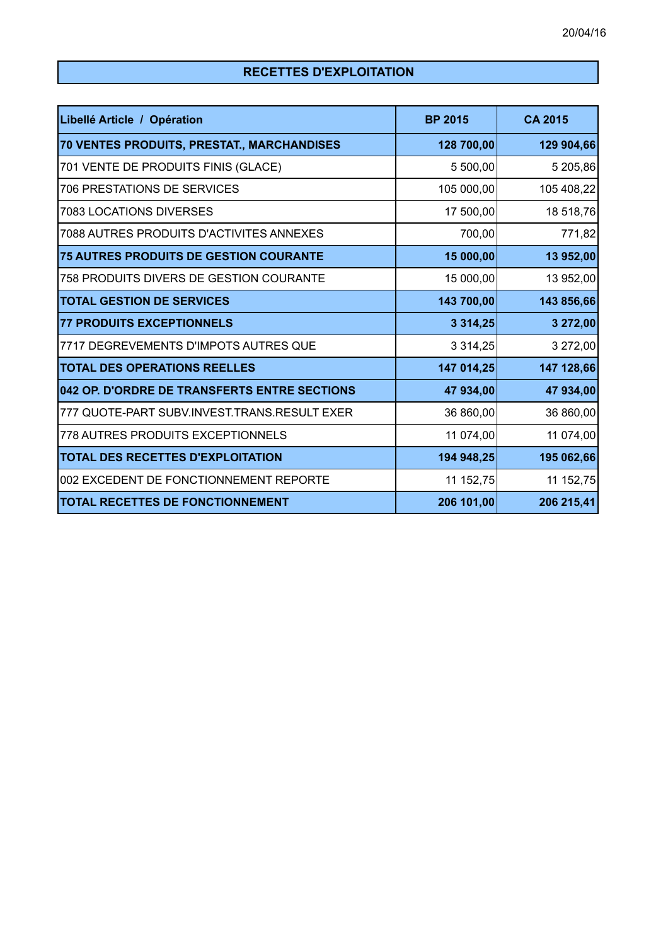# **RECETTES D'EXPLOITATION**

| Libellé Article / Opération                   | <b>BP 2015</b> | <b>CA 2015</b> |
|-----------------------------------------------|----------------|----------------|
| 70 VENTES PRODUITS, PRESTAT., MARCHANDISES    | 128 700,00     | 129 904,66     |
| 701 VENTE DE PRODUITS FINIS (GLACE)           | 5 500,00       | 5 205,86       |
| 706 PRESTATIONS DE SERVICES                   | 105 000,00     | 105 408,22     |
| 7083 LOCATIONS DIVERSES                       | 17 500,00      | 18 518,76      |
| 7088 AUTRES PRODUITS D'ACTIVITES ANNEXES      | 700,00         | 771,82         |
| <b>75 AUTRES PRODUITS DE GESTION COURANTE</b> | 15 000,00      | 13 952,00      |
| 758 PRODUITS DIVERS DE GESTION COURANTE       | 15 000,00      | 13 952,00      |
| <b>TOTAL GESTION DE SERVICES</b>              | 143 700,00     | 143 856,66     |
| <b>77 PRODUITS EXCEPTIONNELS</b>              | 3 3 1 4 , 25   | 3 272,00       |
| 7717 DEGREVEMENTS D'IMPOTS AUTRES QUE         | 3 3 1 4 , 25   | 3 272,00       |
| <b>TOTAL DES OPERATIONS REELLES</b>           | 147 014,25     | 147 128,66     |
| 042 OP. D'ORDRE DE TRANSFERTS ENTRE SECTIONS  | 47 934,00      | 47 934,00      |
| 777 QUOTE-PART SUBV.INVEST.TRANS.RESULT EXER  | 36 860,00      | 36 860,00      |
| 778 AUTRES PRODUITS EXCEPTIONNELS             | 11 074,00      | 11 074,00      |
| TOTAL DES RECETTES D'EXPLOITATION             | 194 948,25     | 195 062,66     |
| 002 EXCEDENT DE FONCTIONNEMENT REPORTE        | 11 152,75      | 11 152,75      |
| <b>TOTAL RECETTES DE FONCTIONNEMENT</b>       | 206 101,00     | 206 215,41     |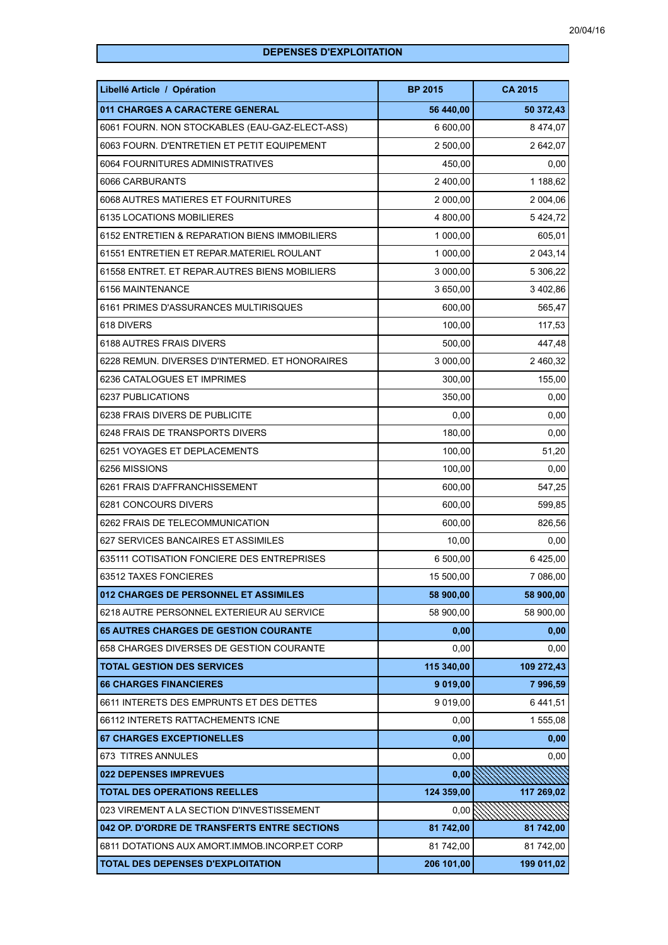## **DEPENSES D'EXPLOITATION**

| Libellé Article / Opération                    | <b>BP 2015</b> | <b>CA 2015</b> |
|------------------------------------------------|----------------|----------------|
| 011 CHARGES A CARACTERE GENERAL                | 56 440,00      | 50 372,43      |
| 6061 FOURN. NON STOCKABLES (EAU-GAZ-ELECT-ASS) | 6 600,00       | 8 474,07       |
| 6063 FOURN. D'ENTRETIEN ET PETIT EQUIPEMENT    | 2 500,00       | 2 642,07       |
| 6064 FOURNITURES ADMINISTRATIVES               | 450,00         | 0,00           |
| 6066 CARBURANTS                                | 2 400,00       | 1 188,62       |
| 6068 AUTRES MATIERES ET FOURNITURES            | 2 000,00       | 2 004,06       |
| 6135 LOCATIONS MOBILIERES                      | 4 800,00       | 5424,72        |
| 6152 ENTRETIEN & REPARATION BIENS IMMOBILIERS  | 1 000,00       | 605,01         |
| 61551 ENTRETIEN ET REPAR.MATERIEL ROULANT      | 1 000,00       | 2 043,14       |
| 61558 ENTRET. ET REPAR.AUTRES BIENS MOBILIERS  | 3 000,00       | 5 306,22       |
| 6156 MAINTENANCE                               | 3 650,00       | 3 402,86       |
| 6161 PRIMES D'ASSURANCES MULTIRISQUES          | 600,00         | 565,47         |
| 618 DIVERS                                     | 100,00         | 117,53         |
| 6188 AUTRES FRAIS DIVERS                       | 500,00         | 447,48         |
| 6228 REMUN. DIVERSES D'INTERMED. ET HONORAIRES | 3 000,00       | 2 460,32       |
| 6236 CATALOGUES ET IMPRIMES                    | 300,00         | 155,00         |
| 6237 PUBLICATIONS                              | 350,00         | 0,00           |
| 6238 FRAIS DIVERS DE PUBLICITE                 | 0,00           | 0,00           |
| 6248 FRAIS DE TRANSPORTS DIVERS                | 180,00         | 0,00           |
| 6251 VOYAGES ET DEPLACEMENTS                   | 100,00         | 51,20          |
| 6256 MISSIONS                                  | 100,00         | 0,00           |
| 6261 FRAIS D'AFFRANCHISSEMENT                  | 600,00         | 547,25         |
| 6281 CONCOURS DIVERS                           | 600,00         | 599,85         |
| 6262 FRAIS DE TELECOMMUNICATION                | 600,00         | 826,56         |
| 627 SERVICES BANCAIRES ET ASSIMILES            | 10,00          | 0,00           |
| 635111 COTISATION FONCIERE DES ENTREPRISES     | 6 500,00       | 6425,00        |
| 63512 TAXES FONCIERES                          | 15 500,00      | 7 086,00       |
| 012 CHARGES DE PERSONNEL ET ASSIMILES          | 58 900,00      | 58 900,00      |
| 6218 AUTRE PERSONNEL EXTERIEUR AU SERVICE      | 58 900,00      | 58 900,00      |
| <b>65 AUTRES CHARGES DE GESTION COURANTE</b>   | 0,00           | 0,00           |
| 658 CHARGES DIVERSES DE GESTION COURANTE       | 0,00           | 0,00           |
| <b>TOTAL GESTION DES SERVICES</b>              | 115 340,00     | 109 272,43     |
| <b>66 CHARGES FINANCIERES</b>                  | 9 019,00       | 7996,59        |
| 6611 INTERETS DES EMPRUNTS ET DES DETTES       | 9 019,00       | 6441,51        |
| 66112 INTERETS RATTACHEMENTS ICNE              | 0,00           | 1 555,08       |
| <b>67 CHARGES EXCEPTIONELLES</b>               | 0,00           | 0,00           |
| 673 TITRES ANNULES                             | 0,00           | 0,00           |
| 022 DEPENSES IMPREVUES                         | 0,00           |                |
| <b>TOTAL DES OPERATIONS REELLES</b>            | 124 359,00     | 117 269,02     |
| 023 VIREMENT A LA SECTION D'INVESTISSEMENT     | 0,00           |                |
| 042 OP. D'ORDRE DE TRANSFERTS ENTRE SECTIONS   | 81 742,00      | 81 742,00      |
| 6811 DOTATIONS AUX AMORT.IMMOB.INCORP.ET CORP  | 81 742,00      | 81 742,00      |
| <b>TOTAL DES DEPENSES D'EXPLOITATION</b>       | 206 101,00     | 199 011,02     |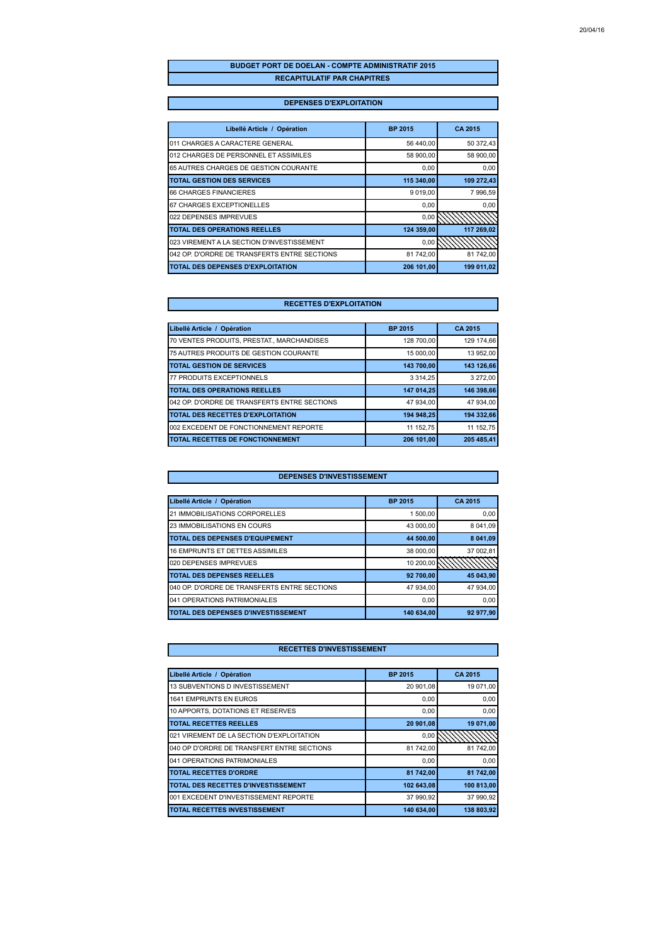### **BUDGET PORT DE DOELAN - COMPTE ADMINISTRATIF 2015 RECAPITULATIF PAR CHAPITRES**

### **DEPENSES D'EXPLOITATION**

| Libellé Article / Opération                  | <b>BP 2015</b> | <b>CA 2015</b> |
|----------------------------------------------|----------------|----------------|
| 011 CHARGES A CARACTERE GENERAL              | 56 440,00      | 50 372,43      |
| 012 CHARGES DE PERSONNEL ET ASSIMILES        | 58 900,00      | 58 900,00      |
| 65 AUTRES CHARGES DE GESTION COURANTE        | 0,00           | 0,00           |
| <b>TOTAL GESTION DES SERVICES</b>            | 115 340,00     | 109 272,43     |
| 66 CHARGES FINANCIERES                       | 9 019,00       | 7 996,59       |
| 67 CHARGES EXCEPTIONELLES                    | 0,00           | 0,00           |
| 022 DEPENSES IMPREVUES                       | 0.00           |                |
| <b>TOTAL DES OPERATIONS REELLES</b>          | 124 359,00     | 117 269,02     |
| 023 VIREMENT A LA SECTION D'INVESTISSEMENT   | 0,00           |                |
| 042 OP. D'ORDRE DE TRANSFERTS ENTRE SECTIONS | 81 742,00      | 81 742,00      |
| <b>TOTAL DES DEPENSES D'EXPLOITATION</b>     | 206 101,00     | 199 011,02     |

### **RECETTES D'EXPLOITATION**

| Libellé Article / Opération                  | <b>BP 2015</b> | CA 2015    |
|----------------------------------------------|----------------|------------|
| 70 VENTES PRODUITS, PRESTAT., MARCHANDISES   | 128 700,00     | 129 174.66 |
| 75 AUTRES PRODUITS DE GESTION COURANTE       | 15 000.00      | 13 952.00  |
| <b>TOTAL GESTION DE SERVICES</b>             | 143 700,00     | 143 126,66 |
| 77 PRODUITS EXCEPTIONNELS                    | 3 3 1 4 . 2 5  | 3 272,00   |
| <b>TOTAL DES OPERATIONS REELLES</b>          | 147 014,25     | 146 398.66 |
| 042 OP. D'ORDRE DE TRANSFERTS ENTRE SECTIONS | 47 934,00      | 47 934.00  |
| <b>TOTAL DES RECETTES D'EXPLOITATION</b>     | 194 948,25     | 194 332.66 |
| 002 EXCEDENT DE FONCTIONNEMENT REPORTE       | 11 152,75      | 11 152.75  |
| <b>TOTAL RECETTES DE FONCTIONNEMENT</b>      | 206 101.00     | 205 485,41 |

#### **DEPENSES D'INVESTISSEMENT**

| Libellé Article / Opération                   | <b>BP 2015</b> | CA 2015   |
|-----------------------------------------------|----------------|-----------|
| <b>21 IMMOBILISATIONS CORPORELLES</b>         | 1 500,00       | 0,00      |
| <b>23 IMMOBILISATIONS EN COURS</b>            | 43 000.00      | 8 041.09  |
| <b>TOTAL DES DEPENSES D'EQUIPEMENT</b>        | 44 500,00      | 8 041,09  |
| 16 EMPRUNTS ET DETTES ASSIMILES               | 38 000.00      | 37 002.81 |
| 020 DEPENSES IMPREVUES                        | 10 200,00      |           |
| <b>TOTAL DES DEPENSES REELLES</b>             | 92 700,00      | 45 043,90 |
| 1040 OP. D'ORDRE DE TRANSFERTS ENTRE SECTIONS | 47 934.00      | 47 934.00 |
| 041 OPERATIONS PATRIMONIALES                  | 0.00           | 0,00      |
| <b>TOTAL DES DEPENSES D'INVESTISSEMENT</b>    | 140 634,00     | 92 977,90 |

| Libellé Article / Opération                | <b>BP 2015</b> | CA 2015     |
|--------------------------------------------|----------------|-------------|
| 13 SUBVENTIONS D INVESTISSEMENT            | 20 901.08      | 19 071.00   |
| 1641 EMPRUNTS EN EUROS                     | 0.00           | 0.00        |
| 10 APPORTS, DOTATIONS ET RESERVES          | 0,00           | 0,00        |
| <b>TOTAL RECETTES REELLES</b>              | 20 901,08      | 19 071,00   |
| 021 VIREMENT DE LA SECTION D'EXPLOITATION  | 0,00           | ペーパー・・・・・・・ |
| 040 OP D'ORDRE DE TRANSFERT ENTRE SECTIONS | 81 742.00      | 81 742.00   |
| 041 OPERATIONS PATRIMONIALES               | 0,00           | 0.00        |
| <b>TOTAL RECETTES D'ORDRE</b>              | 81 742,00      | 81 742,00   |
| TOTAL DES RECETTES D'INVESTISSEMENT        | 102 643,08     | 100 813,00  |
| 001 EXCEDENT D'INVESTISSEMENT REPORTE      | 37 990,92      | 37 990,92   |
| <b>TOTAL RECETTES INVESTISSEMENT</b>       | 140 634.00     | 138 803.92  |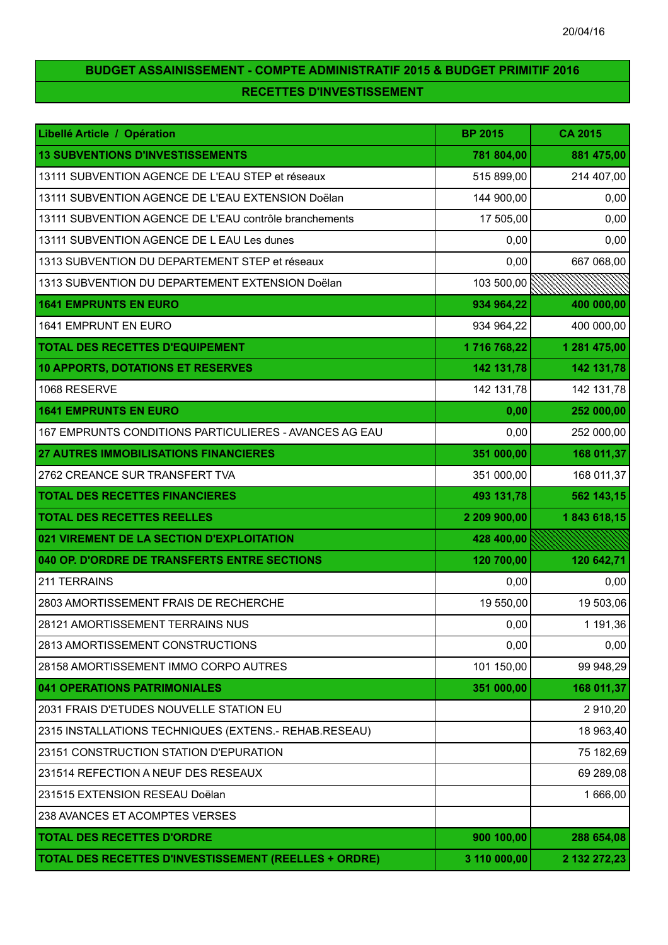# **BUDGET ASSAINISSEMENT - COMPTE ADMINISTRATIF 2015 & BUDGET PRIMITIF 2016 RECETTES D'INVESTISSEMENT**

| Libellé Article / Opération                                  | <b>BP 2015</b> | <b>CA 2015</b> |
|--------------------------------------------------------------|----------------|----------------|
| <b>13 SUBVENTIONS D'INVESTISSEMENTS</b>                      | 781 804,00     | 881 475,00     |
| 13111 SUBVENTION AGENCE DE L'EAU STEP et réseaux             | 515 899,00     | 214 407,00     |
| 13111 SUBVENTION AGENCE DE L'EAU EXTENSION Doëlan            | 144 900,00     | 0,00           |
| 13111 SUBVENTION AGENCE DE L'EAU contrôle branchements       | 17 505,00      | 0,00           |
| 13111 SUBVENTION AGENCE DE L EAU Les dunes                   | 0,00           | 0,00           |
| 1313 SUBVENTION DU DEPARTEMENT STEP et réseaux               | 0,00           | 667 068,00     |
| 1313 SUBVENTION DU DEPARTEMENT EXTENSION Doëlan              | 103 500,00     |                |
| <b>1641 EMPRUNTS EN EURO</b>                                 | 934 964,22     | 400 000,00     |
| 1641 EMPRUNT EN EURO                                         | 934 964,22     | 400 000,00     |
| <b>TOTAL DES RECETTES D'EQUIPEMENT</b>                       | 1716 768,22    | 1 281 475,00   |
| 10 APPORTS, DOTATIONS ET RESERVES                            | 142 131,78     | 142 131,78     |
| 1068 RESERVE                                                 | 142 131,78     | 142 131,78     |
| <b>1641 EMPRUNTS EN EURO</b>                                 | 0,00           | 252 000,00     |
| 167 EMPRUNTS CONDITIONS PARTICULIERES - AVANCES AG EAU       | 0,00           | 252 000,00     |
| <b>27 AUTRES IMMOBILISATIONS FINANCIERES</b>                 | 351 000,00     | 168 011,37     |
| 2762 CREANCE SUR TRANSFERT TVA                               | 351 000,00     | 168 011,37     |
| <b>TOTAL DES RECETTES FINANCIERES</b>                        | 493 131,78     | 562 143,15     |
| <b>TOTAL DES RECETTES REELLES</b>                            | 2 209 900,00   | 1843 618,15    |
| 021 VIREMENT DE LA SECTION D'EXPLOITATION                    | 428 400,00     |                |
| 040 OP. D'ORDRE DE TRANSFERTS ENTRE SECTIONS                 | 120 700,00     | 120 642,71     |
| 211 TERRAINS                                                 | 0,00           | 0,00           |
| 2803 AMORTISSEMENT FRAIS DE RECHERCHE                        | 19 550,00      | 19 503,06      |
| 28121 AMORTISSEMENT TERRAINS NUS                             | 0,00           | 1 191,36       |
| 2813 AMORTISSEMENT CONSTRUCTIONS                             | 0,00           | 0,00           |
| 28158 AMORTISSEMENT IMMO CORPO AUTRES                        | 101 150,00     | 99 948,29      |
| 041 OPERATIONS PATRIMONIALES                                 | 351 000,00     | 168 011,37     |
| 2031 FRAIS D'ETUDES NOUVELLE STATION EU                      |                | 2910,20        |
| 2315 INSTALLATIONS TECHNIQUES (EXTENS.- REHAB.RESEAU)        |                | 18 963,40      |
| 23151 CONSTRUCTION STATION D'EPURATION                       |                | 75 182,69      |
| 231514 REFECTION A NEUF DES RESEAUX                          |                | 69 289,08      |
| 231515 EXTENSION RESEAU Doëlan                               |                | 1 666,00       |
| 238 AVANCES ET ACOMPTES VERSES                               |                |                |
| <b>TOTAL DES RECETTES D'ORDRE</b>                            | 900 100,00     | 288 654,08     |
| <b>TOTAL DES RECETTES D'INVESTISSEMENT (REELLES + ORDRE)</b> | 3 110 000,00   | 2 132 272,23   |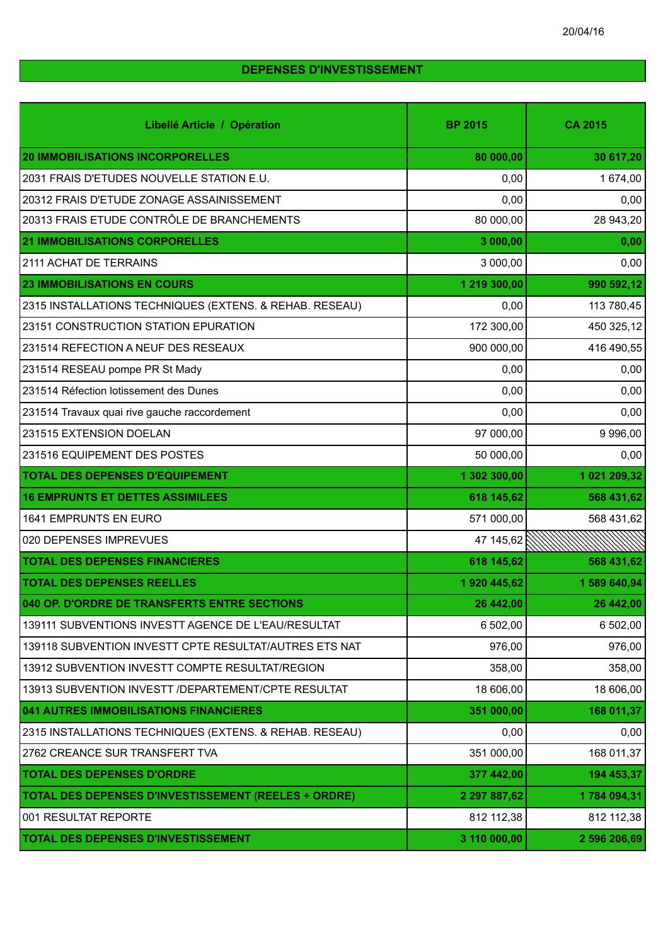## **DEPENSES D'INVESTISSEMENT**

| Libellé Article / Opération                                 | <b>BP 2015</b> | <b>CA 2015</b> |
|-------------------------------------------------------------|----------------|----------------|
| <b>20 IMMOBILISATIONS INCORPORELLES</b>                     | 80 000,00      | 30 617,20      |
| 2031 FRAIS D'ETUDES NOUVELLE STATION E.U.                   | 0,00           | 1 674,00       |
| 20312 FRAIS D'ETUDE ZONAGE ASSAINISSEMENT                   | 0,00           | 0,00           |
| 20313 FRAIS ETUDE CONTRÔLE DE BRANCHEMENTS                  | 80 000,00      | 28 943,20      |
| <b>21 IMMOBILISATIONS CORPORELLES</b>                       | 3 000,00       | 0,00           |
| 2111 ACHAT DE TERRAINS                                      | 3 000,00       | 0,00           |
| <b>23 IMMOBILISATIONS EN COURS</b>                          | 1 219 300,00   | 990 592,12     |
| 2315 INSTALLATIONS TECHNIQUES (EXTENS. & REHAB. RESEAU)     | 0,00           | 113 780,45     |
| 23151 CONSTRUCTION STATION EPURATION                        | 172 300,00     | 450 325,12     |
| 231514 REFECTION A NEUF DES RESEAUX                         | 900 000,00     | 416 490,55     |
| 231514 RESEAU pompe PR St Mady                              | 0,00           | 0,00           |
| 231514 Réfection lotissement des Dunes                      | 0,00           | 0,00           |
| 231514 Travaux quai rive gauche raccordement                | 0,00           | 0,00           |
| 231515 EXTENSION DOELAN                                     | 97 000,00      | 9 9 9 6 , 0 0  |
| 231516 EQUIPEMENT DES POSTES                                | 50 000,00      | 0,00           |
| <b>TOTAL DES DEPENSES D'EQUIPEMENT</b>                      | 1 302 300,00   | 1 021 209,32   |
| <b>16 EMPRUNTS ET DETTES ASSIMILEES</b>                     | 618 145,62     | 568 431,62     |
| 1641 EMPRUNTS EN EURO                                       | 571 000,00     | 568 431,62     |
| 020 DEPENSES IMPREVUES                                      | 47 145,62      |                |
| <b>TOTAL DES DEPENSES FINANCIERES</b>                       | 618 145,62     | 568 431,62     |
| <b>TOTAL DES DEPENSES REELLES</b>                           | 1920 445,62    | 1 589 640,94   |
| 040 OP. D'ORDRE DE TRANSFERTS ENTRE SECTIONS                | 26 442,00      | 26 442,00      |
| 139111 SUBVENTIONS INVESTT AGENCE DE L'EAU/RESULTAT         | 6 502,00       | 6 502,00       |
| 139118 SUBVENTION INVESTT CPTE RESULTAT/AUTRES ETS NAT      | 976,00         | 976,00         |
| 13912 SUBVENTION INVESTT COMPTE RESULTAT/REGION             | 358,00         | 358,00         |
| 13913 SUBVENTION INVESTT /DEPARTEMENT/CPTE RESULTAT         | 18 606,00      | 18 606,00      |
| 041 AUTRES IMMOBILISATIONS FINANCIERES                      | 351 000,00     | 168 011,37     |
| 2315 INSTALLATIONS TECHNIQUES (EXTENS. & REHAB. RESEAU)     | 0,00           | 0,00           |
| 2762 CREANCE SUR TRANSFERT TVA                              | 351 000,00     | 168 011,37     |
| <b>TOTAL DES DEPENSES D'ORDRE</b>                           | 377 442,00     | 194 453,37     |
| <b>TOTAL DES DEPENSES D'INVESTISSEMENT (REELES + ORDRE)</b> | 2 297 887,62   | 1784 094,31    |
| 001 RESULTAT REPORTE                                        | 812 112,38     | 812 112,38     |
| <b>TOTAL DES DEPENSES D'INVESTISSEMENT</b>                  | 3 110 000,00   | 2 596 206,69   |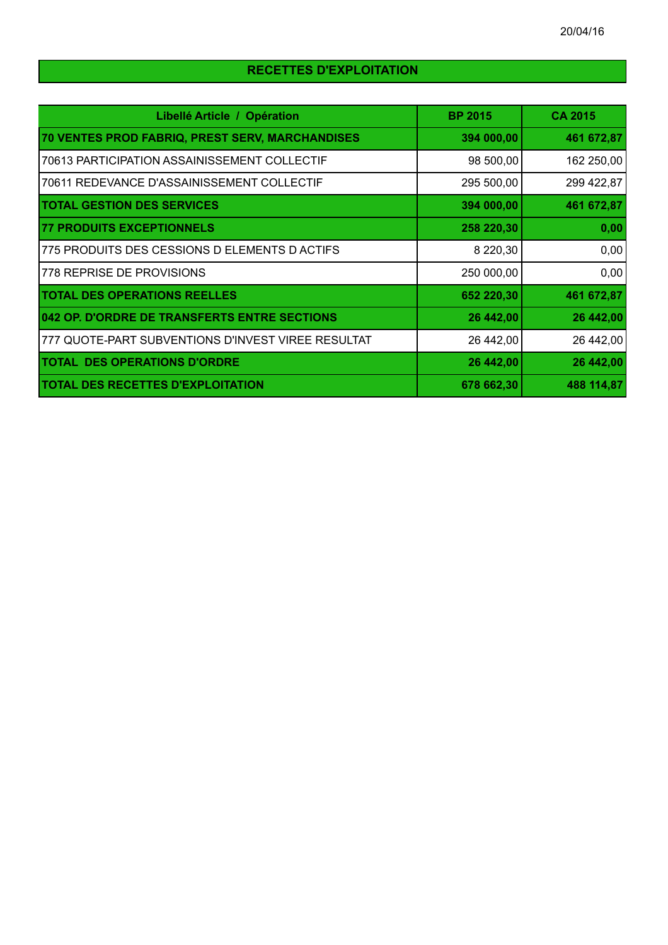# **RECETTES D'EXPLOITATION**

| Libellé Article / Opération                        | <b>BP 2015</b> | <b>CA 2015</b> |
|----------------------------------------------------|----------------|----------------|
| 70 VENTES PROD FABRIQ, PREST SERV, MARCHANDISES    | 394 000,00     | 461 672,87     |
| 70613 PARTICIPATION ASSAINISSEMENT COLLECTIF       | 98 500,00      | 162 250,00     |
| 70611 REDEVANCE D'ASSAINISSEMENT COLLECTIF         | 295 500,00     | 299 422,87     |
| <b>TOTAL GESTION DES SERVICES</b>                  | 394 000,00     | 461 672,87     |
| <b>77 PRODUITS EXCEPTIONNELS</b>                   | 258 220,30     | 0,00           |
| 775 PRODUITS DES CESSIONS D ELEMENTS D ACTIFS      | 8 220,30       | 0,00           |
| 778 REPRISE DE PROVISIONS                          | 250 000,00     | 0,00           |
| <b>TOTAL DES OPERATIONS REELLES</b>                | 652 220,30     | 461 672,87     |
| 042 OP. D'ORDRE DE TRANSFERTS ENTRE SECTIONS       | 26 442,00      | 26 442,00      |
| 777 QUOTE-PART SUBVENTIONS D'INVEST VIREE RESULTAT | 26 442,00      | 26 442,00      |
| <b>TOTAL DES OPERATIONS D'ORDRE</b>                | 26 442,00      | 26 442,00      |
| <b>TOTAL DES RECETTES D'EXPLOITATION</b>           | 678 662,30     | 488 114,87     |